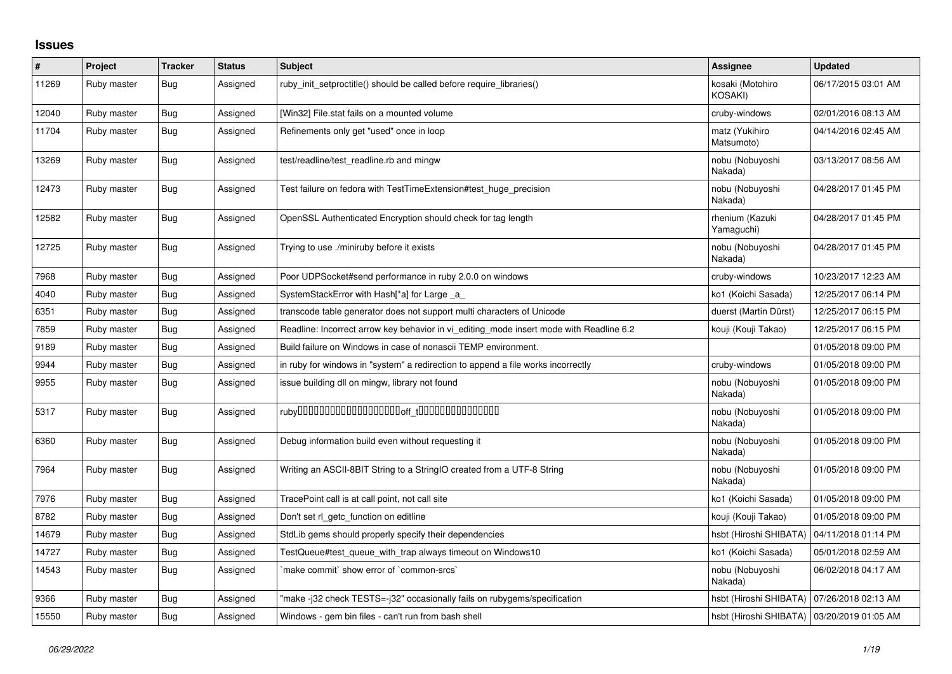## **Issues**

| $\sharp$ | Project     | <b>Tracker</b> | <b>Status</b> | <b>Subject</b>                                                                          | Assignee                                     | <b>Updated</b>      |
|----------|-------------|----------------|---------------|-----------------------------------------------------------------------------------------|----------------------------------------------|---------------------|
| 11269    | Ruby master | <b>Bug</b>     | Assigned      | ruby_init_setproctitle() should be called before require_libraries()                    | kosaki (Motohiro<br>KOSAKI)                  | 06/17/2015 03:01 AM |
| 12040    | Ruby master | Bug            | Assigned      | [Win32] File.stat fails on a mounted volume                                             | cruby-windows                                | 02/01/2016 08:13 AM |
| 11704    | Ruby master | Bug            | Assigned      | Refinements only get "used" once in loop                                                | matz (Yukihiro<br>Matsumoto)                 | 04/14/2016 02:45 AM |
| 13269    | Ruby master | Bug            | Assigned      | test/readline/test readline.rb and mingw                                                | nobu (Nobuyoshi<br>Nakada)                   | 03/13/2017 08:56 AM |
| 12473    | Ruby master | Bug            | Assigned      | Test failure on fedora with TestTimeExtension#test huge precision                       | nobu (Nobuyoshi<br>Nakada)                   | 04/28/2017 01:45 PM |
| 12582    | Ruby master | <b>Bug</b>     | Assigned      | OpenSSL Authenticated Encryption should check for tag length                            | rhenium (Kazuki<br>Yamaguchi)                | 04/28/2017 01:45 PM |
| 12725    | Ruby master | Bug            | Assigned      | Trying to use ./miniruby before it exists                                               | nobu (Nobuyoshi<br>Nakada)                   | 04/28/2017 01:45 PM |
| 7968     | Ruby master | Bug            | Assigned      | Poor UDPSocket#send performance in ruby 2.0.0 on windows                                | cruby-windows                                | 10/23/2017 12:23 AM |
| 4040     | Ruby master | <b>Bug</b>     | Assigned      | SystemStackError with Hash[*a] for Large _a                                             | ko1 (Koichi Sasada)                          | 12/25/2017 06:14 PM |
| 6351     | Ruby master | Bug            | Assigned      | transcode table generator does not support multi characters of Unicode                  | duerst (Martin Dürst)                        | 12/25/2017 06:15 PM |
| 7859     | Ruby master | Bug            | Assigned      | Readline: Incorrect arrow key behavior in vi editing mode insert mode with Readline 6.2 | kouji (Kouji Takao)                          | 12/25/2017 06:15 PM |
| 9189     | Ruby master | <b>Bug</b>     | Assigned      | Build failure on Windows in case of nonascii TEMP environment.                          |                                              | 01/05/2018 09:00 PM |
| 9944     | Ruby master | <b>Bug</b>     | Assigned      | in ruby for windows in "system" a redirection to append a file works incorrectly        | cruby-windows                                | 01/05/2018 09:00 PM |
| 9955     | Ruby master | Bug            | Assigned      | issue building dll on mingw, library not found                                          | nobu (Nobuyoshi<br>Nakada)                   | 01/05/2018 09:00 PM |
| 5317     | Ruby master | <b>Bug</b>     | Assigned      |                                                                                         | nobu (Nobuyoshi<br>Nakada)                   | 01/05/2018 09:00 PM |
| 6360     | Ruby master | Bug            | Assigned      | Debug information build even without requesting it                                      | nobu (Nobuyoshi<br>Nakada)                   | 01/05/2018 09:00 PM |
| 7964     | Ruby master | <b>Bug</b>     | Assigned      | Writing an ASCII-8BIT String to a StringIO created from a UTF-8 String                  | nobu (Nobuyoshi<br>Nakada)                   | 01/05/2018 09:00 PM |
| 7976     | Ruby master | <b>Bug</b>     | Assigned      | TracePoint call is at call point, not call site                                         | ko1 (Koichi Sasada)                          | 01/05/2018 09:00 PM |
| 8782     | Ruby master | <b>Bug</b>     | Assigned      | Don't set rl_getc_function on editline                                                  | kouji (Kouji Takao)                          | 01/05/2018 09:00 PM |
| 14679    | Ruby master | Bug            | Assigned      | StdLib gems should properly specify their dependencies                                  | hsbt (Hiroshi SHIBATA)                       | 04/11/2018 01:14 PM |
| 14727    | Ruby master | <b>Bug</b>     | Assigned      | TestQueue#test queue with trap always timeout on Windows10                              | ko1 (Koichi Sasada)                          | 05/01/2018 02:59 AM |
| 14543    | Ruby master | <b>Bug</b>     | Assigned      | make commit's how error of 'common-srcs'                                                | nobu (Nobuyoshi<br>Nakada)                   | 06/02/2018 04:17 AM |
| 9366     | Ruby master | <b>Bug</b>     | Assigned      | "make-j32 check TESTS=-j32" occasionally fails on rubygems/specification                | hsbt (Hiroshi SHIBATA)   07/26/2018 02:13 AM |                     |
| 15550    | Ruby master | <b>Bug</b>     | Assigned      | Windows - gem bin files - can't run from bash shell                                     | hsbt (Hiroshi SHIBATA)   03/20/2019 01:05 AM |                     |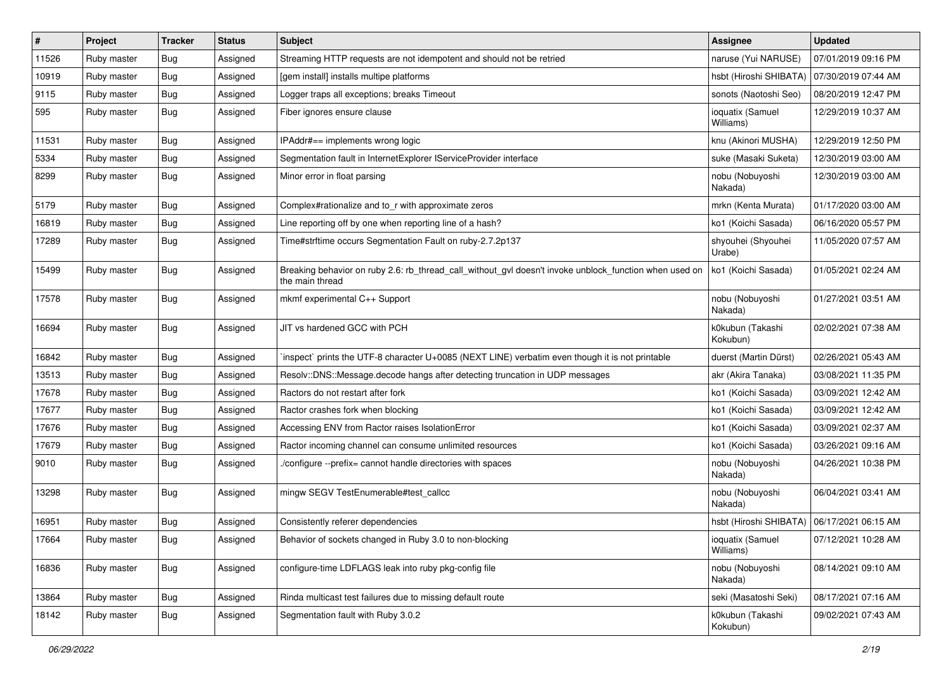| #     | Project     | <b>Tracker</b> | <b>Status</b> | Subject                                                                                                                   | Assignee                                     | <b>Updated</b>      |
|-------|-------------|----------------|---------------|---------------------------------------------------------------------------------------------------------------------------|----------------------------------------------|---------------------|
| 11526 | Ruby master | <b>Bug</b>     | Assigned      | Streaming HTTP requests are not idempotent and should not be retried                                                      | naruse (Yui NARUSE)                          | 07/01/2019 09:16 PM |
| 10919 | Ruby master | <b>Bug</b>     | Assigned      | [gem install] installs multipe platforms                                                                                  | hsbt (Hiroshi SHIBATA)                       | 07/30/2019 07:44 AM |
| 9115  | Ruby master | <b>Bug</b>     | Assigned      | Logger traps all exceptions; breaks Timeout                                                                               | sonots (Naotoshi Seo)                        | 08/20/2019 12:47 PM |
| 595   | Ruby master | <b>Bug</b>     | Assigned      | Fiber ignores ensure clause                                                                                               | ioquatix (Samuel<br>Williams)                | 12/29/2019 10:37 AM |
| 11531 | Ruby master | Bug            | Assigned      | IPAddr#== implements wrong logic                                                                                          | knu (Akinori MUSHA)                          | 12/29/2019 12:50 PM |
| 5334  | Ruby master | <b>Bug</b>     | Assigned      | Segmentation fault in InternetExplorer IServiceProvider interface                                                         | suke (Masaki Suketa)                         | 12/30/2019 03:00 AM |
| 8299  | Ruby master | Bug            | Assigned      | Minor error in float parsing                                                                                              | nobu (Nobuyoshi<br>Nakada)                   | 12/30/2019 03:00 AM |
| 5179  | Ruby master | <b>Bug</b>     | Assigned      | Complex#rationalize and to_r with approximate zeros                                                                       | mrkn (Kenta Murata)                          | 01/17/2020 03:00 AM |
| 16819 | Ruby master | Bug            | Assigned      | Line reporting off by one when reporting line of a hash?                                                                  | ko1 (Koichi Sasada)                          | 06/16/2020 05:57 PM |
| 17289 | Ruby master | <b>Bug</b>     | Assigned      | Time#strftime occurs Segmentation Fault on ruby-2.7.2p137                                                                 | shyouhei (Shyouhei<br>Urabe)                 | 11/05/2020 07:57 AM |
| 15499 | Ruby master | Bug            | Assigned      | Breaking behavior on ruby 2.6: rb_thread_call_without_gvl doesn't invoke unblock_function when used on<br>the main thread | ko1 (Koichi Sasada)                          | 01/05/2021 02:24 AM |
| 17578 | Ruby master | <b>Bug</b>     | Assigned      | mkmf experimental C++ Support                                                                                             | nobu (Nobuyoshi<br>Nakada)                   | 01/27/2021 03:51 AM |
| 16694 | Ruby master | <b>Bug</b>     | Assigned      | JIT vs hardened GCC with PCH                                                                                              | k0kubun (Takashi<br>Kokubun)                 | 02/02/2021 07:38 AM |
| 16842 | Ruby master | <b>Bug</b>     | Assigned      | inspect` prints the UTF-8 character U+0085 (NEXT LINE) verbatim even though it is not printable                           | duerst (Martin Dürst)                        | 02/26/2021 05:43 AM |
| 13513 | Ruby master | <b>Bug</b>     | Assigned      | Resolv::DNS::Message.decode hangs after detecting truncation in UDP messages                                              | akr (Akira Tanaka)                           | 03/08/2021 11:35 PM |
| 17678 | Ruby master | <b>Bug</b>     | Assigned      | Ractors do not restart after fork                                                                                         | ko1 (Koichi Sasada)                          | 03/09/2021 12:42 AM |
| 17677 | Ruby master | <b>Bug</b>     | Assigned      | Ractor crashes fork when blocking                                                                                         | ko1 (Koichi Sasada)                          | 03/09/2021 12:42 AM |
| 17676 | Ruby master | <b>Bug</b>     | Assigned      | Accessing ENV from Ractor raises IsolationError                                                                           | ko1 (Koichi Sasada)                          | 03/09/2021 02:37 AM |
| 17679 | Ruby master | <b>Bug</b>     | Assigned      | Ractor incoming channel can consume unlimited resources                                                                   | ko1 (Koichi Sasada)                          | 03/26/2021 09:16 AM |
| 9010  | Ruby master | <b>Bug</b>     | Assigned      | /configure --prefix= cannot handle directories with spaces                                                                | nobu (Nobuyoshi<br>Nakada)                   | 04/26/2021 10:38 PM |
| 13298 | Ruby master | Bug            | Assigned      | mingw SEGV TestEnumerable#test_callcc                                                                                     | nobu (Nobuyoshi<br>Nakada)                   | 06/04/2021 03:41 AM |
| 16951 | Ruby master | <b>Bug</b>     | Assigned      | Consistently referer dependencies                                                                                         | hsbt (Hiroshi SHIBATA)   06/17/2021 06:15 AM |                     |
| 17664 | Ruby master | Bug            | Assigned      | Behavior of sockets changed in Ruby 3.0 to non-blocking                                                                   | ioquatix (Samuel<br>Williams)                | 07/12/2021 10:28 AM |
| 16836 | Ruby master | <b>Bug</b>     | Assigned      | configure-time LDFLAGS leak into ruby pkg-config file                                                                     | nobu (Nobuyoshi<br>Nakada)                   | 08/14/2021 09:10 AM |
| 13864 | Ruby master | Bug            | Assigned      | Rinda multicast test failures due to missing default route                                                                | seki (Masatoshi Seki)                        | 08/17/2021 07:16 AM |
| 18142 | Ruby master | <b>Bug</b>     | Assigned      | Segmentation fault with Ruby 3.0.2                                                                                        | k0kubun (Takashi<br>Kokubun)                 | 09/02/2021 07:43 AM |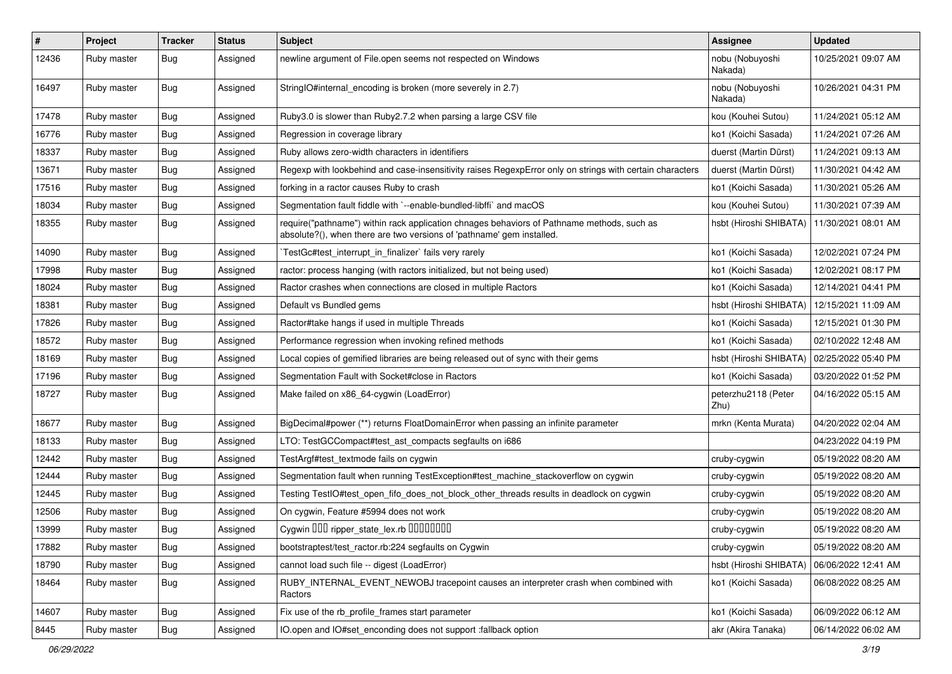| $\pmb{\#}$ | Project     | <b>Tracker</b> | <b>Status</b> | <b>Subject</b>                                                                                                                                                      | <b>Assignee</b>             | <b>Updated</b>      |
|------------|-------------|----------------|---------------|---------------------------------------------------------------------------------------------------------------------------------------------------------------------|-----------------------------|---------------------|
| 12436      | Ruby master | Bug            | Assigned      | newline argument of File.open seems not respected on Windows                                                                                                        | nobu (Nobuyoshi<br>Nakada)  | 10/25/2021 09:07 AM |
| 16497      | Ruby master | Bug            | Assigned      | StringIO#internal encoding is broken (more severely in 2.7)                                                                                                         | nobu (Nobuyoshi<br>Nakada)  | 10/26/2021 04:31 PM |
| 17478      | Ruby master | Bug            | Assigned      | Ruby3.0 is slower than Ruby2.7.2 when parsing a large CSV file                                                                                                      | kou (Kouhei Sutou)          | 11/24/2021 05:12 AM |
| 16776      | Ruby master | Bug            | Assigned      | Regression in coverage library                                                                                                                                      | ko1 (Koichi Sasada)         | 11/24/2021 07:26 AM |
| 18337      | Ruby master | Bug            | Assigned      | Ruby allows zero-width characters in identifiers                                                                                                                    | duerst (Martin Dürst)       | 11/24/2021 09:13 AM |
| 13671      | Ruby master | Bug            | Assigned      | Regexp with lookbehind and case-insensitivity raises RegexpError only on strings with certain characters                                                            | duerst (Martin Dürst)       | 11/30/2021 04:42 AM |
| 17516      | Ruby master | Bug            | Assigned      | forking in a ractor causes Ruby to crash                                                                                                                            | ko1 (Koichi Sasada)         | 11/30/2021 05:26 AM |
| 18034      | Ruby master | <b>Bug</b>     | Assigned      | Segmentation fault fiddle with `--enable-bundled-libffi` and macOS                                                                                                  | kou (Kouhei Sutou)          | 11/30/2021 07:39 AM |
| 18355      | Ruby master | Bug            | Assigned      | require("pathname") within rack application chnages behaviors of Pathname methods, such as<br>absolute?(), when there are two versions of 'pathname' gem installed. | hsbt (Hiroshi SHIBATA)      | 11/30/2021 08:01 AM |
| 14090      | Ruby master | Bug            | Assigned      | TestGc#test_interrupt_in_finalizer` fails very rarely                                                                                                               | ko1 (Koichi Sasada)         | 12/02/2021 07:24 PM |
| 17998      | Ruby master | Bug            | Assigned      | ractor: process hanging (with ractors initialized, but not being used)                                                                                              | ko1 (Koichi Sasada)         | 12/02/2021 08:17 PM |
| 18024      | Ruby master | <b>Bug</b>     | Assigned      | Ractor crashes when connections are closed in multiple Ractors                                                                                                      | ko1 (Koichi Sasada)         | 12/14/2021 04:41 PM |
| 18381      | Ruby master | Bug            | Assigned      | Default vs Bundled gems                                                                                                                                             | hsbt (Hiroshi SHIBATA)      | 12/15/2021 11:09 AM |
| 17826      | Ruby master | Bug            | Assigned      | Ractor#take hangs if used in multiple Threads                                                                                                                       | ko1 (Koichi Sasada)         | 12/15/2021 01:30 PM |
| 18572      | Ruby master | <b>Bug</b>     | Assigned      | Performance regression when invoking refined methods                                                                                                                | ko1 (Koichi Sasada)         | 02/10/2022 12:48 AM |
| 18169      | Ruby master | Bug            | Assigned      | Local copies of gemified libraries are being released out of sync with their gems                                                                                   | hsbt (Hiroshi SHIBATA)      | 02/25/2022 05:40 PM |
| 17196      | Ruby master | Bug            | Assigned      | Segmentation Fault with Socket#close in Ractors                                                                                                                     | ko1 (Koichi Sasada)         | 03/20/2022 01:52 PM |
| 18727      | Ruby master | Bug            | Assigned      | Make failed on x86_64-cygwin (LoadError)                                                                                                                            | peterzhu2118 (Peter<br>Zhu) | 04/16/2022 05:15 AM |
| 18677      | Ruby master | Bug            | Assigned      | BigDecimal#power (**) returns FloatDomainError when passing an infinite parameter                                                                                   | mrkn (Kenta Murata)         | 04/20/2022 02:04 AM |
| 18133      | Ruby master | Bug            | Assigned      | LTO: TestGCCompact#test ast compacts segfaults on i686                                                                                                              |                             | 04/23/2022 04:19 PM |
| 12442      | Ruby master | Bug            | Assigned      | TestArgf#test_textmode fails on cygwin                                                                                                                              | cruby-cygwin                | 05/19/2022 08:20 AM |
| 12444      | Ruby master | <b>Bug</b>     | Assigned      | Segmentation fault when running TestException#test_machine_stackoverflow on cygwin                                                                                  | cruby-cygwin                | 05/19/2022 08:20 AM |
| 12445      | Ruby master | Bug            | Assigned      | Testing TestlO#test_open_fifo_does_not_block_other_threads results in deadlock on cygwin                                                                            | cruby-cygwin                | 05/19/2022 08:20 AM |
| 12506      | Ruby master | Bug            | Assigned      | On cygwin, Feature #5994 does not work                                                                                                                              | cruby-cygwin                | 05/19/2022 08:20 AM |
| 13999      | Ruby master | Bug            | Assigned      | Cygwin DDD ripper_state_lex.rb DDDDDDD                                                                                                                              | cruby-cygwin                | 05/19/2022 08:20 AM |
| 17882      | Ruby master | <b>Bug</b>     | Assigned      | bootstraptest/test_ractor.rb:224 segfaults on Cygwin                                                                                                                | cruby-cygwin                | 05/19/2022 08:20 AM |
| 18790      | Ruby master | <b>Bug</b>     | Assigned      | cannot load such file -- digest (LoadError)                                                                                                                         | hsbt (Hiroshi SHIBATA)      | 06/06/2022 12:41 AM |
| 18464      | Ruby master | <b>Bug</b>     | Assigned      | RUBY_INTERNAL_EVENT_NEWOBJ tracepoint causes an interpreter crash when combined with<br>Ractors                                                                     | ko1 (Koichi Sasada)         | 06/08/2022 08:25 AM |
| 14607      | Ruby master | <b>Bug</b>     | Assigned      | Fix use of the rb_profile_frames start parameter                                                                                                                    | ko1 (Koichi Sasada)         | 06/09/2022 06:12 AM |
| 8445       | Ruby master | Bug            | Assigned      | IO.open and IO#set_enconding does not support :fallback option                                                                                                      | akr (Akira Tanaka)          | 06/14/2022 06:02 AM |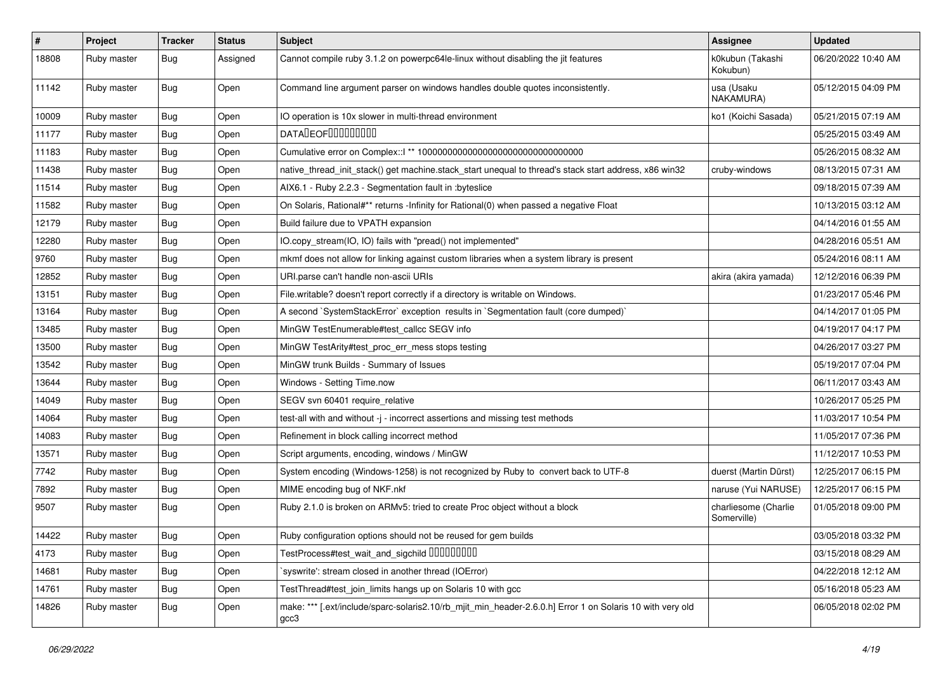| $\vert$ # | Project     | <b>Tracker</b> | <b>Status</b> | <b>Subject</b>                                                                                                    | Assignee                            | <b>Updated</b>      |
|-----------|-------------|----------------|---------------|-------------------------------------------------------------------------------------------------------------------|-------------------------------------|---------------------|
| 18808     | Ruby master | Bug            | Assigned      | Cannot compile ruby 3.1.2 on powerpc64le-linux without disabling the jit features                                 | k0kubun (Takashi<br>Kokubun)        | 06/20/2022 10:40 AM |
| 11142     | Ruby master | Bug            | Open          | Command line argument parser on windows handles double quotes inconsistently.                                     | usa (Usaku<br>NAKAMURA)             | 05/12/2015 04:09 PM |
| 10009     | Ruby master | Bug            | Open          | IO operation is 10x slower in multi-thread environment                                                            | ko1 (Koichi Sasada)                 | 05/21/2015 07:19 AM |
| 11177     | Ruby master | Bug            | Open          | <b>DATALEOFILILILILILI</b>                                                                                        |                                     | 05/25/2015 03:49 AM |
| 11183     | Ruby master | Bug            | Open          |                                                                                                                   |                                     | 05/26/2015 08:32 AM |
| 11438     | Ruby master | Bug            | Open          | native_thread_init_stack() get machine.stack_start unequal to thread's stack start address, x86 win32             | cruby-windows                       | 08/13/2015 07:31 AM |
| 11514     | Ruby master | Bug            | Open          | AIX6.1 - Ruby 2.2.3 - Segmentation fault in :byteslice                                                            |                                     | 09/18/2015 07:39 AM |
| 11582     | Ruby master | Bug            | Open          | On Solaris, Rational#** returns -Infinity for Rational(0) when passed a negative Float                            |                                     | 10/13/2015 03:12 AM |
| 12179     | Ruby master | <b>Bug</b>     | Open          | Build failure due to VPATH expansion                                                                              |                                     | 04/14/2016 01:55 AM |
| 12280     | Ruby master | Bug            | Open          | IO.copy_stream(IO, IO) fails with "pread() not implemented"                                                       |                                     | 04/28/2016 05:51 AM |
| 9760      | Ruby master | Bug            | Open          | mkmf does not allow for linking against custom libraries when a system library is present                         |                                     | 05/24/2016 08:11 AM |
| 12852     | Ruby master | Bug            | Open          | URI.parse can't handle non-ascii URIs                                                                             | akira (akira yamada)                | 12/12/2016 06:39 PM |
| 13151     | Ruby master | Bug            | Open          | File.writable? doesn't report correctly if a directory is writable on Windows.                                    |                                     | 01/23/2017 05:46 PM |
| 13164     | Ruby master | Bug            | Open          | A second `SystemStackError` exception results in `Segmentation fault (core dumped)`                               |                                     | 04/14/2017 01:05 PM |
| 13485     | Ruby master | Bug            | Open          | MinGW TestEnumerable#test_callcc SEGV info                                                                        |                                     | 04/19/2017 04:17 PM |
| 13500     | Ruby master | Bug            | Open          | MinGW TestArity#test_proc_err_mess stops testing                                                                  |                                     | 04/26/2017 03:27 PM |
| 13542     | Ruby master | Bug            | Open          | MinGW trunk Builds - Summary of Issues                                                                            |                                     | 05/19/2017 07:04 PM |
| 13644     | Ruby master | Bug            | Open          | Windows - Setting Time.now                                                                                        |                                     | 06/11/2017 03:43 AM |
| 14049     | Ruby master | <b>Bug</b>     | Open          | SEGV svn 60401 require_relative                                                                                   |                                     | 10/26/2017 05:25 PM |
| 14064     | Ruby master | Bug            | Open          | test-all with and without -j - incorrect assertions and missing test methods                                      |                                     | 11/03/2017 10:54 PM |
| 14083     | Ruby master | Bug            | Open          | Refinement in block calling incorrect method                                                                      |                                     | 11/05/2017 07:36 PM |
| 13571     | Ruby master | Bug            | Open          | Script arguments, encoding, windows / MinGW                                                                       |                                     | 11/12/2017 10:53 PM |
| 7742      | Ruby master | Bug            | Open          | System encoding (Windows-1258) is not recognized by Ruby to convert back to UTF-8                                 | duerst (Martin Dürst)               | 12/25/2017 06:15 PM |
| 7892      | Ruby master | Bug            | Open          | MIME encoding bug of NKF.nkf                                                                                      | naruse (Yui NARUSE)                 | 12/25/2017 06:15 PM |
| 9507      | Ruby master | Bug            | Open          | Ruby 2.1.0 is broken on ARMv5: tried to create Proc object without a block                                        | charliesome (Charlie<br>Somerville) | 01/05/2018 09:00 PM |
| 14422     | Ruby master | Bug            | Open          | Ruby configuration options should not be reused for gem builds                                                    |                                     | 03/05/2018 03:32 PM |
| 4173      | Ruby master | Bug            | Open          | TestProcess#test_wait_and_sigchild DDDDDDDD                                                                       |                                     | 03/15/2018 08:29 AM |
| 14681     | Ruby master | Bug            | Open          | syswrite': stream closed in another thread (IOError)                                                              |                                     | 04/22/2018 12:12 AM |
| 14761     | Ruby master | <b>Bug</b>     | Open          | TestThread#test_join_limits hangs up on Solaris 10 with gcc                                                       |                                     | 05/16/2018 05:23 AM |
| 14826     | Ruby master | Bug            | Open          | make: *** [.ext/include/sparc-solaris2.10/rb_mjit_min_header-2.6.0.h] Error 1 on Solaris 10 with very old<br>gcc3 |                                     | 06/05/2018 02:02 PM |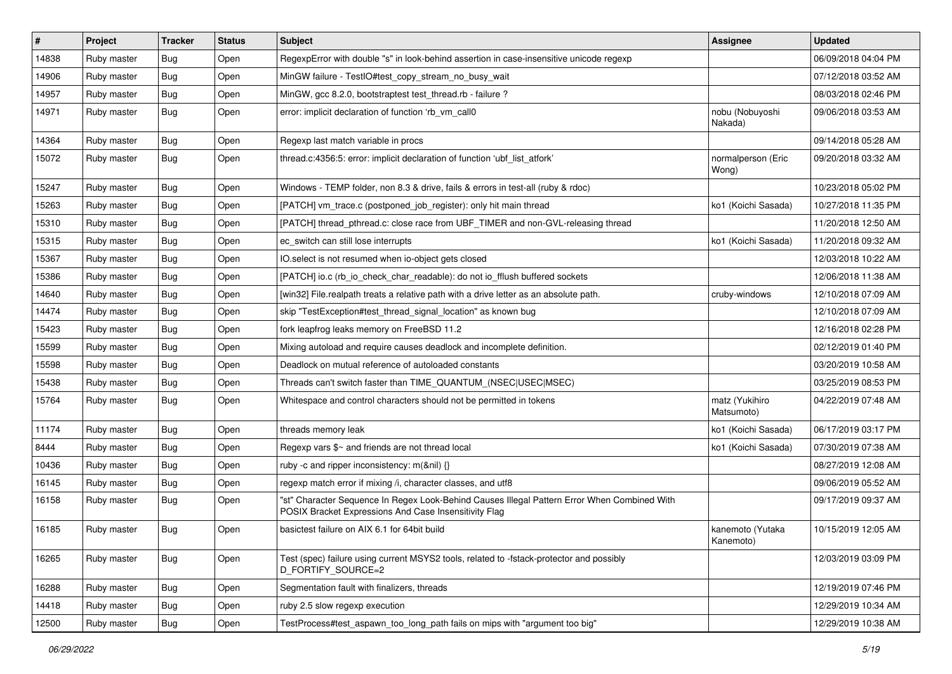| $\#$  | Project     | <b>Tracker</b> | <b>Status</b> | <b>Subject</b>                                                                                                                                        | Assignee                      | <b>Updated</b>      |
|-------|-------------|----------------|---------------|-------------------------------------------------------------------------------------------------------------------------------------------------------|-------------------------------|---------------------|
| 14838 | Ruby master | <b>Bug</b>     | Open          | RegexpError with double "s" in look-behind assertion in case-insensitive unicode regexp                                                               |                               | 06/09/2018 04:04 PM |
| 14906 | Ruby master | Bug            | Open          | MinGW failure - TestIO#test_copy_stream_no_busy_wait                                                                                                  |                               | 07/12/2018 03:52 AM |
| 14957 | Ruby master | Bug            | Open          | MinGW, gcc 8.2.0, bootstraptest test thread.rb - failure?                                                                                             |                               | 08/03/2018 02:46 PM |
| 14971 | Ruby master | Bug            | Open          | error: implicit declaration of function 'rb_vm_call0                                                                                                  | nobu (Nobuyoshi<br>Nakada)    | 09/06/2018 03:53 AM |
| 14364 | Ruby master | <b>Bug</b>     | Open          | Regexp last match variable in procs                                                                                                                   |                               | 09/14/2018 05:28 AM |
| 15072 | Ruby master | <b>Bug</b>     | Open          | thread.c:4356:5: error: implicit declaration of function 'ubf_list_atfork'                                                                            | normalperson (Eric<br>Wong)   | 09/20/2018 03:32 AM |
| 15247 | Ruby master | <b>Bug</b>     | Open          | Windows - TEMP folder, non 8.3 & drive, fails & errors in test-all (ruby & rdoc)                                                                      |                               | 10/23/2018 05:02 PM |
| 15263 | Ruby master | Bug            | Open          | [PATCH] vm_trace.c (postponed_job_register): only hit main thread                                                                                     | ko1 (Koichi Sasada)           | 10/27/2018 11:35 PM |
| 15310 | Ruby master | <b>Bug</b>     | Open          | [PATCH] thread_pthread.c: close race from UBF_TIMER and non-GVL-releasing thread                                                                      |                               | 11/20/2018 12:50 AM |
| 15315 | Ruby master | <b>Bug</b>     | Open          | ec switch can still lose interrupts                                                                                                                   | ko1 (Koichi Sasada)           | 11/20/2018 09:32 AM |
| 15367 | Ruby master | <b>Bug</b>     | Open          | IO.select is not resumed when io-object gets closed                                                                                                   |                               | 12/03/2018 10:22 AM |
| 15386 | Ruby master | <b>Bug</b>     | Open          | [PATCH] io.c (rb_io_check_char_readable): do not io_fflush buffered sockets                                                                           |                               | 12/06/2018 11:38 AM |
| 14640 | Ruby master | <b>Bug</b>     | Open          | [win32] File.realpath treats a relative path with a drive letter as an absolute path.                                                                 | cruby-windows                 | 12/10/2018 07:09 AM |
| 14474 | Ruby master | Bug            | Open          | skip "TestException#test thread signal location" as known bug                                                                                         |                               | 12/10/2018 07:09 AM |
| 15423 | Ruby master | <b>Bug</b>     | Open          | fork leapfrog leaks memory on FreeBSD 11.2                                                                                                            |                               | 12/16/2018 02:28 PM |
| 15599 | Ruby master | <b>Bug</b>     | Open          | Mixing autoload and require causes deadlock and incomplete definition.                                                                                |                               | 02/12/2019 01:40 PM |
| 15598 | Ruby master | <b>Bug</b>     | Open          | Deadlock on mutual reference of autoloaded constants                                                                                                  |                               | 03/20/2019 10:58 AM |
| 15438 | Ruby master | <b>Bug</b>     | Open          | Threads can't switch faster than TIME_QUANTUM_(NSEC USEC MSEC)                                                                                        |                               | 03/25/2019 08:53 PM |
| 15764 | Ruby master | <b>Bug</b>     | Open          | Whitespace and control characters should not be permitted in tokens                                                                                   | matz (Yukihiro<br>Matsumoto)  | 04/22/2019 07:48 AM |
| 11174 | Ruby master | <b>Bug</b>     | Open          | threads memory leak                                                                                                                                   | ko1 (Koichi Sasada)           | 06/17/2019 03:17 PM |
| 8444  | Ruby master | Bug            | Open          | Regexp vars \$~ and friends are not thread local                                                                                                      | ko1 (Koichi Sasada)           | 07/30/2019 07:38 AM |
| 10436 | Ruby master | <b>Bug</b>     | Open          | ruby -c and ripper inconsistency: m(&nil) {}                                                                                                          |                               | 08/27/2019 12:08 AM |
| 16145 | Ruby master | <b>Bug</b>     | Open          | regexp match error if mixing /i, character classes, and utf8                                                                                          |                               | 09/06/2019 05:52 AM |
| 16158 | Ruby master | Bug            | Open          | "st" Character Sequence In Regex Look-Behind Causes Illegal Pattern Error When Combined With<br>POSIX Bracket Expressions And Case Insensitivity Flag |                               | 09/17/2019 09:37 AM |
| 16185 | Ruby master | <b>Bug</b>     | Open          | basictest failure on AIX 6.1 for 64bit build                                                                                                          | kanemoto (Yutaka<br>Kanemoto) | 10/15/2019 12:05 AM |
| 16265 | Ruby master | Bug            | Open          | Test (spec) failure using current MSYS2 tools, related to -fstack-protector and possibly<br>D_FORTIFY_SOURCE=2                                        |                               | 12/03/2019 03:09 PM |
| 16288 | Ruby master | <b>Bug</b>     | Open          | Segmentation fault with finalizers, threads                                                                                                           |                               | 12/19/2019 07:46 PM |
| 14418 | Ruby master | <b>Bug</b>     | Open          | ruby 2.5 slow regexp execution                                                                                                                        |                               | 12/29/2019 10:34 AM |
| 12500 | Ruby master | <b>Bug</b>     | Open          | TestProcess#test_aspawn_too_long_path fails on mips with "argument too big"                                                                           |                               | 12/29/2019 10:38 AM |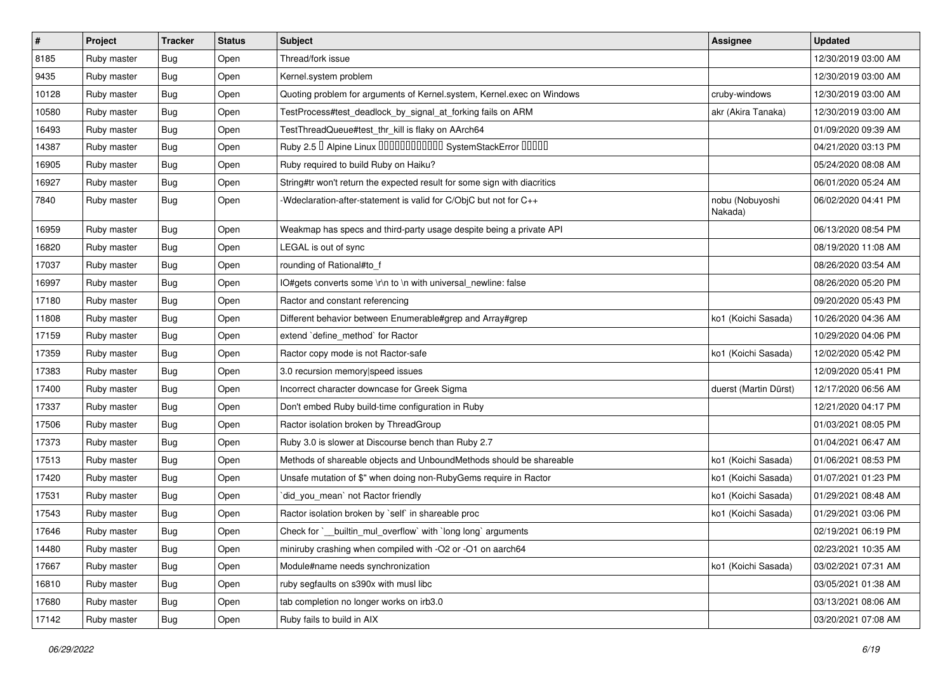| #     | Project     | <b>Tracker</b> | <b>Status</b> | <b>Subject</b>                                                           | Assignee                   | <b>Updated</b>      |
|-------|-------------|----------------|---------------|--------------------------------------------------------------------------|----------------------------|---------------------|
| 8185  | Ruby master | Bug            | Open          | Thread/fork issue                                                        |                            | 12/30/2019 03:00 AM |
| 9435  | Ruby master | Bug            | Open          | Kernel.system problem                                                    |                            | 12/30/2019 03:00 AM |
| 10128 | Ruby master | <b>Bug</b>     | Open          | Quoting problem for arguments of Kernel.system, Kernel.exec on Windows   | cruby-windows              | 12/30/2019 03:00 AM |
| 10580 | Ruby master | <b>Bug</b>     | Open          | TestProcess#test_deadlock_by_signal_at_forking fails on ARM              | akr (Akira Tanaka)         | 12/30/2019 03:00 AM |
| 16493 | Ruby master | Bug            | Open          | TestThreadQueue#test_thr_kill is flaky on AArch64                        |                            | 01/09/2020 09:39 AM |
| 14387 | Ruby master | <b>Bug</b>     | Open          | Ruby 2.5 <sup>D</sup> Alpine Linux 000000000000 SystemStackError 00000   |                            | 04/21/2020 03:13 PM |
| 16905 | Ruby master | Bug            | Open          | Ruby required to build Ruby on Haiku?                                    |                            | 05/24/2020 08:08 AM |
| 16927 | Ruby master | Bug            | Open          | String#tr won't return the expected result for some sign with diacritics |                            | 06/01/2020 05:24 AM |
| 7840  | Ruby master | <b>Bug</b>     | Open          | -Wdeclaration-after-statement is valid for C/ObjC but not for C++        | nobu (Nobuyoshi<br>Nakada) | 06/02/2020 04:41 PM |
| 16959 | Ruby master | <b>Bug</b>     | Open          | Weakmap has specs and third-party usage despite being a private API      |                            | 06/13/2020 08:54 PM |
| 16820 | Ruby master | <b>Bug</b>     | Open          | LEGAL is out of sync                                                     |                            | 08/19/2020 11:08 AM |
| 17037 | Ruby master | <b>Bug</b>     | Open          | rounding of Rational#to_f                                                |                            | 08/26/2020 03:54 AM |
| 16997 | Ruby master | <b>Bug</b>     | Open          | IO#gets converts some \r\n to \n with universal_newline: false           |                            | 08/26/2020 05:20 PM |
| 17180 | Ruby master | Bug            | Open          | Ractor and constant referencing                                          |                            | 09/20/2020 05:43 PM |
| 11808 | Ruby master | Bug            | Open          | Different behavior between Enumerable#grep and Array#grep                | ko1 (Koichi Sasada)        | 10/26/2020 04:36 AM |
| 17159 | Ruby master | <b>Bug</b>     | Open          | extend `define_method` for Ractor                                        |                            | 10/29/2020 04:06 PM |
| 17359 | Ruby master | Bug            | Open          | Ractor copy mode is not Ractor-safe                                      | ko1 (Koichi Sasada)        | 12/02/2020 05:42 PM |
| 17383 | Ruby master | <b>Bug</b>     | Open          | 3.0 recursion memory speed issues                                        |                            | 12/09/2020 05:41 PM |
| 17400 | Ruby master | <b>Bug</b>     | Open          | Incorrect character downcase for Greek Sigma                             | duerst (Martin Dürst)      | 12/17/2020 06:56 AM |
| 17337 | Ruby master | Bug            | Open          | Don't embed Ruby build-time configuration in Ruby                        |                            | 12/21/2020 04:17 PM |
| 17506 | Ruby master | <b>Bug</b>     | Open          | Ractor isolation broken by ThreadGroup                                   |                            | 01/03/2021 08:05 PM |
| 17373 | Ruby master | Bug            | Open          | Ruby 3.0 is slower at Discourse bench than Ruby 2.7                      |                            | 01/04/2021 06:47 AM |
| 17513 | Ruby master | <b>Bug</b>     | Open          | Methods of shareable objects and UnboundMethods should be shareable      | ko1 (Koichi Sasada)        | 01/06/2021 08:53 PM |
| 17420 | Ruby master | <b>Bug</b>     | Open          | Unsafe mutation of \$" when doing non-RubyGems require in Ractor         | ko1 (Koichi Sasada)        | 01/07/2021 01:23 PM |
| 17531 | Ruby master | Bug            | Open          | did_you_mean' not Ractor friendly                                        | ko1 (Koichi Sasada)        | 01/29/2021 08:48 AM |
| 17543 | Ruby master | <b>Bug</b>     | Open          | Ractor isolation broken by `self` in shareable proc                      | ko1 (Koichi Sasada)        | 01/29/2021 03:06 PM |
| 17646 | Ruby master | Bug            | Open          | Check for `__builtin_mul_overflow` with `long long` arguments            |                            | 02/19/2021 06:19 PM |
| 14480 | Ruby master | Bug            | Open          | miniruby crashing when compiled with -O2 or -O1 on aarch64               |                            | 02/23/2021 10:35 AM |
| 17667 | Ruby master | <b>Bug</b>     | Open          | Module#name needs synchronization                                        | ko1 (Koichi Sasada)        | 03/02/2021 07:31 AM |
| 16810 | Ruby master | <b>Bug</b>     | Open          | ruby segfaults on s390x with musl libc                                   |                            | 03/05/2021 01:38 AM |
| 17680 | Ruby master | <b>Bug</b>     | Open          | tab completion no longer works on irb3.0                                 |                            | 03/13/2021 08:06 AM |
| 17142 | Ruby master | <b>Bug</b>     | Open          | Ruby fails to build in AIX                                               |                            | 03/20/2021 07:08 AM |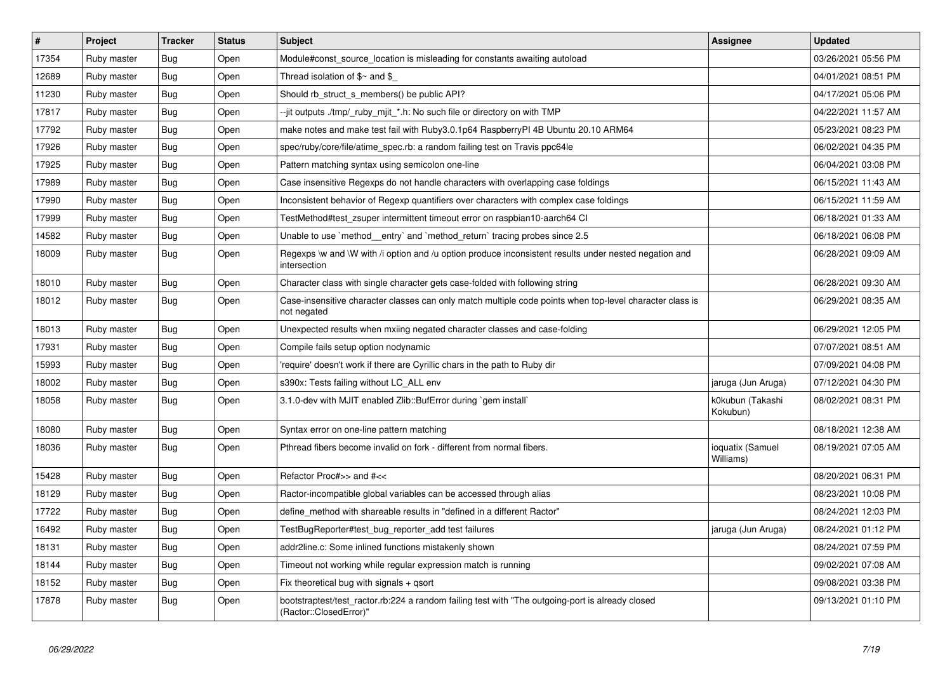| ∦     | <b>Project</b> | <b>Tracker</b> | <b>Status</b> | <b>Subject</b>                                                                                                             | <b>Assignee</b>               | <b>Updated</b>      |
|-------|----------------|----------------|---------------|----------------------------------------------------------------------------------------------------------------------------|-------------------------------|---------------------|
| 17354 | Ruby master    | <b>Bug</b>     | Open          | Module#const source location is misleading for constants awaiting autoload                                                 |                               | 03/26/2021 05:56 PM |
| 12689 | Ruby master    | Bug            | Open          | Thread isolation of $\gamma$ and $\gamma$                                                                                  |                               | 04/01/2021 08:51 PM |
| 11230 | Ruby master    | <b>Bug</b>     | Open          | Should rb struct s members() be public API?                                                                                |                               | 04/17/2021 05:06 PM |
| 17817 | Ruby master    | <b>Bug</b>     | Open          | --jit outputs ./tmp/_ruby_mjit_*.h: No such file or directory on with TMP                                                  |                               | 04/22/2021 11:57 AM |
| 17792 | Ruby master    | Bug            | Open          | make notes and make test fail with Ruby3.0.1p64 RaspberryPI 4B Ubuntu 20.10 ARM64                                          |                               | 05/23/2021 08:23 PM |
| 17926 | Ruby master    | Bug            | Open          | spec/ruby/core/file/atime_spec.rb: a random failing test on Travis ppc64le                                                 |                               | 06/02/2021 04:35 PM |
| 17925 | Ruby master    | Bug            | Open          | Pattern matching syntax using semicolon one-line                                                                           |                               | 06/04/2021 03:08 PM |
| 17989 | Ruby master    | <b>Bug</b>     | Open          | Case insensitive Regexps do not handle characters with overlapping case foldings                                           |                               | 06/15/2021 11:43 AM |
| 17990 | Ruby master    | Bug            | Open          | Inconsistent behavior of Regexp quantifiers over characters with complex case foldings                                     |                               | 06/15/2021 11:59 AM |
| 17999 | Ruby master    | Bug            | Open          | TestMethod#test zsuper intermittent timeout error on raspbian10-aarch64 CI                                                 |                               | 06/18/2021 01:33 AM |
| 14582 | Ruby master    | Bug            | Open          | Unable to use `method entry` and `method return` tracing probes since 2.5                                                  |                               | 06/18/2021 06:08 PM |
| 18009 | Ruby master    | Bug            | Open          | Regexps \w and \W with /i option and /u option produce inconsistent results under nested negation and<br>intersection      |                               | 06/28/2021 09:09 AM |
| 18010 | Ruby master    | Bug            | Open          | Character class with single character gets case-folded with following string                                               |                               | 06/28/2021 09:30 AM |
| 18012 | Ruby master    | <b>Bug</b>     | Open          | Case-insensitive character classes can only match multiple code points when top-level character class is<br>not negated    |                               | 06/29/2021 08:35 AM |
| 18013 | Ruby master    | Bug            | Open          | Unexpected results when mxiing negated character classes and case-folding                                                  |                               | 06/29/2021 12:05 PM |
| 17931 | Ruby master    | <b>Bug</b>     | Open          | Compile fails setup option nodynamic                                                                                       |                               | 07/07/2021 08:51 AM |
| 15993 | Ruby master    | <b>Bug</b>     | Open          | 'require' doesn't work if there are Cyrillic chars in the path to Ruby dir                                                 |                               | 07/09/2021 04:08 PM |
| 18002 | Ruby master    | <b>Bug</b>     | Open          | s390x: Tests failing without LC_ALL env                                                                                    | jaruga (Jun Aruga)            | 07/12/2021 04:30 PM |
| 18058 | Ruby master    | <b>Bug</b>     | Open          | 3.1.0-dev with MJIT enabled Zlib::BufError during `gem install`                                                            | k0kubun (Takashi<br>Kokubun)  | 08/02/2021 08:31 PM |
| 18080 | Ruby master    | <b>Bug</b>     | Open          | Syntax error on one-line pattern matching                                                                                  |                               | 08/18/2021 12:38 AM |
| 18036 | Ruby master    | <b>Bug</b>     | Open          | Pthread fibers become invalid on fork - different from normal fibers.                                                      | ioquatix (Samuel<br>Williams) | 08/19/2021 07:05 AM |
| 15428 | Ruby master    | Bug            | Open          | Refactor Proc#>> and #<<                                                                                                   |                               | 08/20/2021 06:31 PM |
| 18129 | Ruby master    | <b>Bug</b>     | Open          | Ractor-incompatible global variables can be accessed through alias                                                         |                               | 08/23/2021 10:08 PM |
| 17722 | Ruby master    | <b>Bug</b>     | Open          | define_method with shareable results in "defined in a different Ractor"                                                    |                               | 08/24/2021 12:03 PM |
| 16492 | Ruby master    | <b>Bug</b>     | Open          | TestBugReporter#test_bug_reporter_add test failures                                                                        | jaruga (Jun Aruga)            | 08/24/2021 01:12 PM |
| 18131 | Ruby master    | Bug            | Open          | addr2line.c: Some inlined functions mistakenly shown                                                                       |                               | 08/24/2021 07:59 PM |
| 18144 | Ruby master    | <b>Bug</b>     | Open          | Timeout not working while regular expression match is running                                                              |                               | 09/02/2021 07:08 AM |
| 18152 | Ruby master    | Bug            | Open          | Fix theoretical bug with signals + qsort                                                                                   |                               | 09/08/2021 03:38 PM |
| 17878 | Ruby master    | <b>Bug</b>     | Open          | bootstraptest/test_ractor.rb:224 a random failing test with "The outgoing-port is already closed<br>(Ractor::ClosedError)" |                               | 09/13/2021 01:10 PM |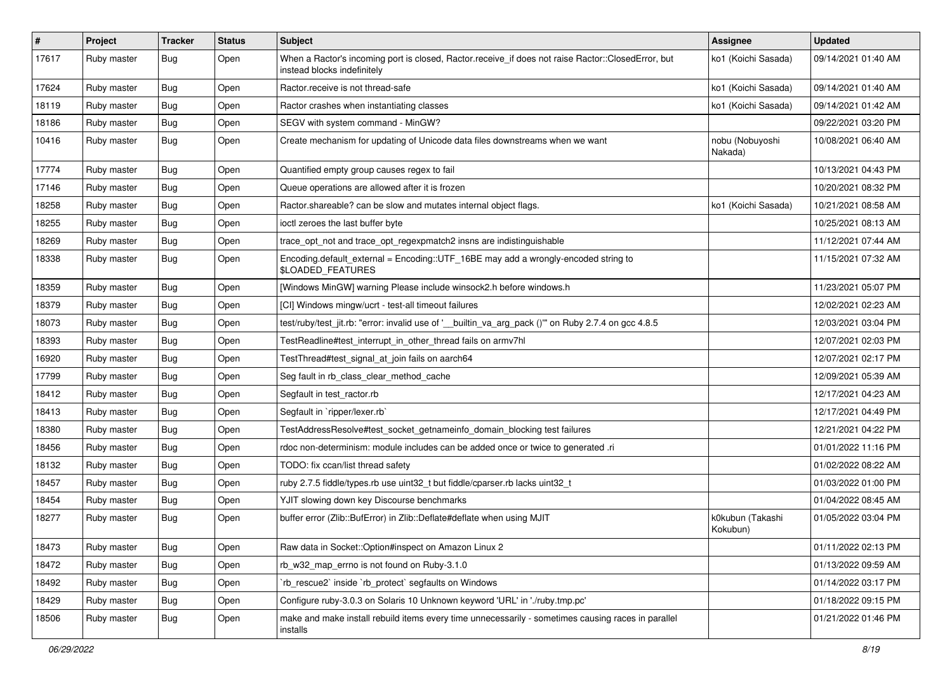| $\vert$ # | Project     | <b>Tracker</b> | <b>Status</b> | <b>Subject</b>                                                                                                                    | <b>Assignee</b>              | <b>Updated</b>      |
|-----------|-------------|----------------|---------------|-----------------------------------------------------------------------------------------------------------------------------------|------------------------------|---------------------|
| 17617     | Ruby master | Bug            | Open          | When a Ractor's incoming port is closed, Ractor.receive_if does not raise Ractor::ClosedError, but<br>instead blocks indefinitely | ko1 (Koichi Sasada)          | 09/14/2021 01:40 AM |
| 17624     | Ruby master | Bug            | Open          | Ractor.receive is not thread-safe                                                                                                 | ko1 (Koichi Sasada)          | 09/14/2021 01:40 AM |
| 18119     | Ruby master | <b>Bug</b>     | Open          | Ractor crashes when instantiating classes                                                                                         | ko1 (Koichi Sasada)          | 09/14/2021 01:42 AM |
| 18186     | Ruby master | Bug            | Open          | SEGV with system command - MinGW?                                                                                                 |                              | 09/22/2021 03:20 PM |
| 10416     | Ruby master | <b>Bug</b>     | Open          | Create mechanism for updating of Unicode data files downstreams when we want                                                      | nobu (Nobuyoshi<br>Nakada)   | 10/08/2021 06:40 AM |
| 17774     | Ruby master | <b>Bug</b>     | Open          | Quantified empty group causes regex to fail                                                                                       |                              | 10/13/2021 04:43 PM |
| 17146     | Ruby master | <b>Bug</b>     | Open          | Queue operations are allowed after it is frozen                                                                                   |                              | 10/20/2021 08:32 PM |
| 18258     | Ruby master | <b>Bug</b>     | Open          | Ractor.shareable? can be slow and mutates internal object flags.                                                                  | ko1 (Koichi Sasada)          | 10/21/2021 08:58 AM |
| 18255     | Ruby master | <b>Bug</b>     | Open          | ioctl zeroes the last buffer byte                                                                                                 |                              | 10/25/2021 08:13 AM |
| 18269     | Ruby master | <b>Bug</b>     | Open          | trace_opt_not and trace_opt_regexpmatch2 insns are indistinguishable                                                              |                              | 11/12/2021 07:44 AM |
| 18338     | Ruby master | <b>Bug</b>     | Open          | Encoding.default_external = Encoding::UTF_16BE may add a wrongly-encoded string to<br>\$LOADED_FEATURES                           |                              | 11/15/2021 07:32 AM |
| 18359     | Ruby master | <b>Bug</b>     | Open          | [Windows MinGW] warning Please include winsock2.h before windows.h                                                                |                              | 11/23/2021 05:07 PM |
| 18379     | Ruby master | <b>Bug</b>     | Open          | [CI] Windows mingw/ucrt - test-all timeout failures                                                                               |                              | 12/02/2021 02:23 AM |
| 18073     | Ruby master | <b>Bug</b>     | Open          | test/ruby/test_jit.rb: "error: invalid use of '__builtin_va_arg_pack ()" on Ruby 2.7.4 on gcc 4.8.5                               |                              | 12/03/2021 03:04 PM |
| 18393     | Ruby master | Bug            | Open          | TestReadline#test_interrupt_in_other_thread fails on armv7hl                                                                      |                              | 12/07/2021 02:03 PM |
| 16920     | Ruby master | <b>Bug</b>     | Open          | TestThread#test_signal_at_join fails on aarch64                                                                                   |                              | 12/07/2021 02:17 PM |
| 17799     | Ruby master | <b>Bug</b>     | Open          | Seg fault in rb_class_clear_method_cache                                                                                          |                              | 12/09/2021 05:39 AM |
| 18412     | Ruby master | Bug            | Open          | Segfault in test_ractor.rb                                                                                                        |                              | 12/17/2021 04:23 AM |
| 18413     | Ruby master | <b>Bug</b>     | Open          | Segfault in `ripper/lexer.rb`                                                                                                     |                              | 12/17/2021 04:49 PM |
| 18380     | Ruby master | <b>Bug</b>     | Open          | TestAddressResolve#test_socket_getnameinfo_domain_blocking test failures                                                          |                              | 12/21/2021 04:22 PM |
| 18456     | Ruby master | Bug            | Open          | rdoc non-determinism: module includes can be added once or twice to generated .ri                                                 |                              | 01/01/2022 11:16 PM |
| 18132     | Ruby master | <b>Bug</b>     | Open          | TODO: fix ccan/list thread safety                                                                                                 |                              | 01/02/2022 08:22 AM |
| 18457     | Ruby master | Bug            | Open          | ruby 2.7.5 fiddle/types.rb use uint32_t but fiddle/cparser.rb lacks uint32_t                                                      |                              | 01/03/2022 01:00 PM |
| 18454     | Ruby master | <b>Bug</b>     | Open          | YJIT slowing down key Discourse benchmarks                                                                                        |                              | 01/04/2022 08:45 AM |
| 18277     | Ruby master | <b>Bug</b>     | Open          | buffer error (Zlib::BufError) in Zlib::Deflate#deflate when using MJIT                                                            | k0kubun (Takashi<br>Kokubun) | 01/05/2022 03:04 PM |
| 18473     | Ruby master | <b>Bug</b>     | Open          | Raw data in Socket::Option#inspect on Amazon Linux 2                                                                              |                              | 01/11/2022 02:13 PM |
| 18472     | Ruby master | <b>Bug</b>     | Open          | rb_w32_map_errno is not found on Ruby-3.1.0                                                                                       |                              | 01/13/2022 09:59 AM |
| 18492     | Ruby master | <b>Bug</b>     | Open          | 'rb rescue2' inside 'rb protect' segfaults on Windows                                                                             |                              | 01/14/2022 03:17 PM |
| 18429     | Ruby master | <b>Bug</b>     | Open          | Configure ruby-3.0.3 on Solaris 10 Unknown keyword 'URL' in './ruby.tmp.pc'                                                       |                              | 01/18/2022 09:15 PM |
| 18506     | Ruby master | <b>Bug</b>     | Open          | make and make install rebuild items every time unnecessarily - sometimes causing races in parallel<br>installs                    |                              | 01/21/2022 01:46 PM |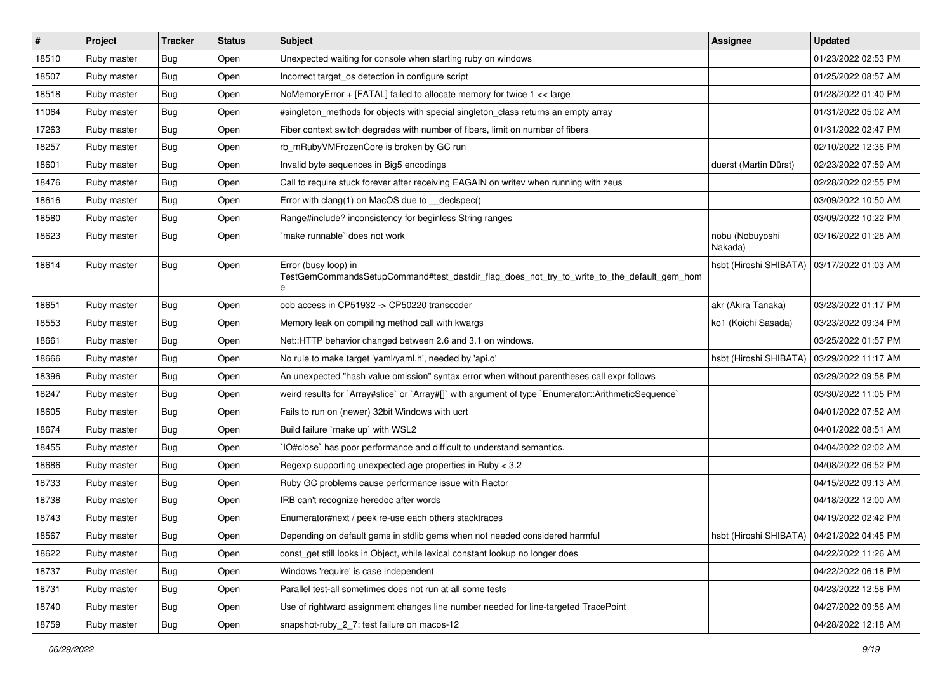| #     | Project     | <b>Tracker</b> | <b>Status</b> | <b>Subject</b>                                                                                                          | <b>Assignee</b>                              | <b>Updated</b>      |
|-------|-------------|----------------|---------------|-------------------------------------------------------------------------------------------------------------------------|----------------------------------------------|---------------------|
| 18510 | Ruby master | Bug            | Open          | Unexpected waiting for console when starting ruby on windows                                                            |                                              | 01/23/2022 02:53 PM |
| 18507 | Ruby master | <b>Bug</b>     | Open          | Incorrect target_os detection in configure script                                                                       |                                              | 01/25/2022 08:57 AM |
| 18518 | Ruby master | <b>Bug</b>     | Open          | NoMemoryError + [FATAL] failed to allocate memory for twice 1 << large                                                  |                                              | 01/28/2022 01:40 PM |
| 11064 | Ruby master | <b>Bug</b>     | Open          | #singleton_methods for objects with special singleton_class returns an empty array                                      |                                              | 01/31/2022 05:02 AM |
| 17263 | Ruby master | <b>Bug</b>     | Open          | Fiber context switch degrades with number of fibers, limit on number of fibers                                          |                                              | 01/31/2022 02:47 PM |
| 18257 | Ruby master | <b>Bug</b>     | Open          | rb mRubyVMFrozenCore is broken by GC run                                                                                |                                              | 02/10/2022 12:36 PM |
| 18601 | Ruby master | <b>Bug</b>     | Open          | Invalid byte sequences in Big5 encodings                                                                                | duerst (Martin Dürst)                        | 02/23/2022 07:59 AM |
| 18476 | Ruby master | <b>Bug</b>     | Open          | Call to require stuck forever after receiving EAGAIN on writev when running with zeus                                   |                                              | 02/28/2022 02:55 PM |
| 18616 | Ruby master | <b>Bug</b>     | Open          | Error with clang(1) on MacOS due to _declspec()                                                                         |                                              | 03/09/2022 10:50 AM |
| 18580 | Ruby master | Bug            | Open          | Range#include? inconsistency for beginless String ranges                                                                |                                              | 03/09/2022 10:22 PM |
| 18623 | Ruby master | <b>Bug</b>     | Open          | make runnable' does not work                                                                                            | nobu (Nobuyoshi<br>Nakada)                   | 03/16/2022 01:28 AM |
| 18614 | Ruby master | <b>Bug</b>     | Open          | Error (busy loop) in<br>TestGemCommandsSetupCommand#test_destdir_flag_does_not_try_to_write_to_the_default_gem_hom<br>e | hsbt (Hiroshi SHIBATA)                       | 03/17/2022 01:03 AM |
| 18651 | Ruby master | Bug            | Open          | oob access in CP51932 -> CP50220 transcoder                                                                             | akr (Akira Tanaka)                           | 03/23/2022 01:17 PM |
| 18553 | Ruby master | <b>Bug</b>     | Open          | Memory leak on compiling method call with kwargs                                                                        | ko1 (Koichi Sasada)                          | 03/23/2022 09:34 PM |
| 18661 | Ruby master | Bug            | Open          | Net::HTTP behavior changed between 2.6 and 3.1 on windows.                                                              |                                              | 03/25/2022 01:57 PM |
| 18666 | Ruby master | <b>Bug</b>     | Open          | No rule to make target 'yaml/yaml.h', needed by 'api.o'                                                                 | hsbt (Hiroshi SHIBATA)                       | 03/29/2022 11:17 AM |
| 18396 | Ruby master | <b>Bug</b>     | Open          | An unexpected "hash value omission" syntax error when without parentheses call expr follows                             |                                              | 03/29/2022 09:58 PM |
| 18247 | Ruby master | Bug            | Open          | weird results for `Array#slice` or `Array#[]` with argument of type `Enumerator::ArithmeticSequence`                    |                                              | 03/30/2022 11:05 PM |
| 18605 | Ruby master | <b>Bug</b>     | Open          | Fails to run on (newer) 32bit Windows with ucrt                                                                         |                                              | 04/01/2022 07:52 AM |
| 18674 | Ruby master | <b>Bug</b>     | Open          | Build failure `make up` with WSL2                                                                                       |                                              | 04/01/2022 08:51 AM |
| 18455 | Ruby master | <b>Bug</b>     | Open          | IO#close` has poor performance and difficult to understand semantics.                                                   |                                              | 04/04/2022 02:02 AM |
| 18686 | Ruby master | <b>Bug</b>     | Open          | Regexp supporting unexpected age properties in Ruby < 3.2                                                               |                                              | 04/08/2022 06:52 PM |
| 18733 | Ruby master | <b>Bug</b>     | Open          | Ruby GC problems cause performance issue with Ractor                                                                    |                                              | 04/15/2022 09:13 AM |
| 18738 | Ruby master | <b>Bug</b>     | Open          | IRB can't recognize heredoc after words                                                                                 |                                              | 04/18/2022 12:00 AM |
| 18743 | Ruby master | <b>Bug</b>     | Open          | Enumerator#next / peek re-use each others stacktraces                                                                   |                                              | 04/19/2022 02:42 PM |
| 18567 | Ruby master | Bug            | Open          | Depending on default gems in stdlib gems when not needed considered harmful                                             | hsbt (Hiroshi SHIBATA)   04/21/2022 04:45 PM |                     |
| 18622 | Ruby master | <b>Bug</b>     | Open          | const_get still looks in Object, while lexical constant lookup no longer does                                           |                                              | 04/22/2022 11:26 AM |
| 18737 | Ruby master | <b>Bug</b>     | Open          | Windows 'require' is case independent                                                                                   |                                              | 04/22/2022 06:18 PM |
| 18731 | Ruby master | <b>Bug</b>     | Open          | Parallel test-all sometimes does not run at all some tests                                                              |                                              | 04/23/2022 12:58 PM |
| 18740 | Ruby master | Bug            | Open          | Use of rightward assignment changes line number needed for line-targeted TracePoint                                     |                                              | 04/27/2022 09:56 AM |
| 18759 | Ruby master | Bug            | Open          | snapshot-ruby_2_7: test failure on macos-12                                                                             |                                              | 04/28/2022 12:18 AM |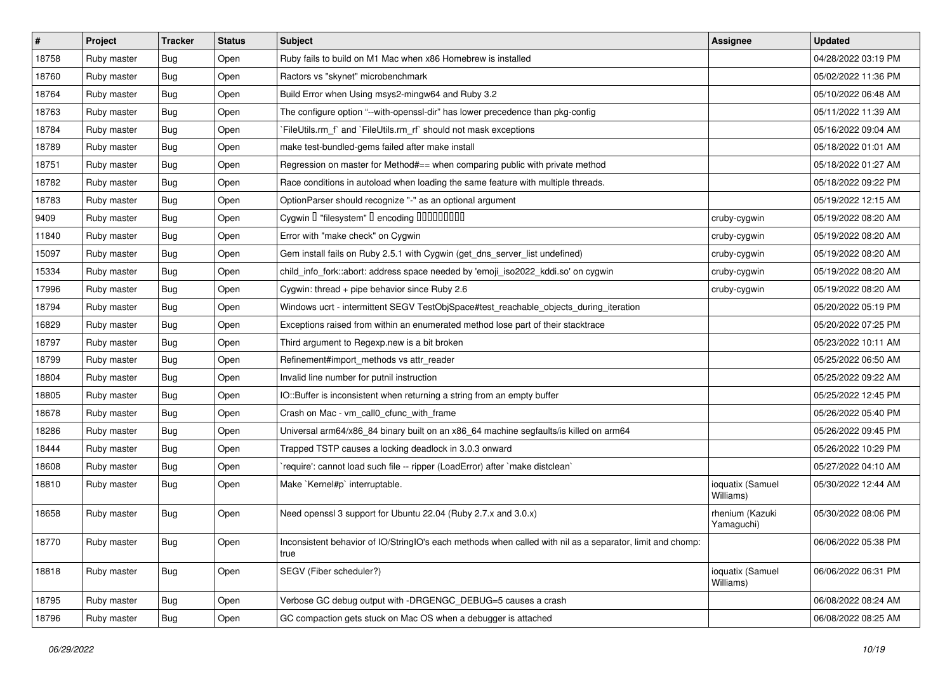| $\vert$ # | Project     | <b>Tracker</b> | <b>Status</b> | <b>Subject</b>                                                                                                    | Assignee                      | <b>Updated</b>      |
|-----------|-------------|----------------|---------------|-------------------------------------------------------------------------------------------------------------------|-------------------------------|---------------------|
| 18758     | Ruby master | Bug            | Open          | Ruby fails to build on M1 Mac when x86 Homebrew is installed                                                      |                               | 04/28/2022 03:19 PM |
| 18760     | Ruby master | Bug            | Open          | Ractors vs "skynet" microbenchmark                                                                                |                               | 05/02/2022 11:36 PM |
| 18764     | Ruby master | Bug            | Open          | Build Error when Using msys2-mingw64 and Ruby 3.2                                                                 |                               | 05/10/2022 06:48 AM |
| 18763     | Ruby master | <b>Bug</b>     | Open          | The configure option "--with-openssl-dir" has lower precedence than pkg-config                                    |                               | 05/11/2022 11:39 AM |
| 18784     | Ruby master | Bug            | Open          | FileUtils.rm_f` and `FileUtils.rm_rf` should not mask exceptions                                                  |                               | 05/16/2022 09:04 AM |
| 18789     | Ruby master | Bug            | Open          | make test-bundled-gems failed after make install                                                                  |                               | 05/18/2022 01:01 AM |
| 18751     | Ruby master | Bug            | Open          | Regression on master for Method#== when comparing public with private method                                      |                               | 05/18/2022 01:27 AM |
| 18782     | Ruby master | Bug            | Open          | Race conditions in autoload when loading the same feature with multiple threads.                                  |                               | 05/18/2022 09:22 PM |
| 18783     | Ruby master | <b>Bug</b>     | Open          | OptionParser should recognize "-" as an optional argument                                                         |                               | 05/19/2022 12:15 AM |
| 9409      | Ruby master | <b>Bug</b>     | Open          | Cygwin I "filesystem" I encoding IIIIIIIIIIIII                                                                    | cruby-cygwin                  | 05/19/2022 08:20 AM |
| 11840     | Ruby master | Bug            | Open          | Error with "make check" on Cygwin                                                                                 | cruby-cygwin                  | 05/19/2022 08:20 AM |
| 15097     | Ruby master | Bug            | Open          | Gem install fails on Ruby 2.5.1 with Cygwin (get_dns_server_list undefined)                                       | cruby-cygwin                  | 05/19/2022 08:20 AM |
| 15334     | Ruby master | Bug            | Open          | child_info_fork::abort: address space needed by 'emoji_iso2022_kddi.so' on cygwin                                 | cruby-cygwin                  | 05/19/2022 08:20 AM |
| 17996     | Ruby master | <b>Bug</b>     | Open          | Cygwin: thread + pipe behavior since Ruby 2.6                                                                     | cruby-cygwin                  | 05/19/2022 08:20 AM |
| 18794     | Ruby master | Bug            | Open          | Windows ucrt - intermittent SEGV TestObjSpace#test_reachable_objects_during_iteration                             |                               | 05/20/2022 05:19 PM |
| 16829     | Ruby master | Bug            | Open          | Exceptions raised from within an enumerated method lose part of their stacktrace                                  |                               | 05/20/2022 07:25 PM |
| 18797     | Ruby master | Bug            | Open          | Third argument to Regexp.new is a bit broken                                                                      |                               | 05/23/2022 10:11 AM |
| 18799     | Ruby master | Bug            | Open          | Refinement#import_methods vs attr_reader                                                                          |                               | 05/25/2022 06:50 AM |
| 18804     | Ruby master | Bug            | Open          | Invalid line number for putnil instruction                                                                        |                               | 05/25/2022 09:22 AM |
| 18805     | Ruby master | Bug            | Open          | IO::Buffer is inconsistent when returning a string from an empty buffer                                           |                               | 05/25/2022 12:45 PM |
| 18678     | Ruby master | <b>Bug</b>     | Open          | Crash on Mac - vm_call0_cfunc_with_frame                                                                          |                               | 05/26/2022 05:40 PM |
| 18286     | Ruby master | <b>Bug</b>     | Open          | Universal arm64/x86_84 binary built on an x86_64 machine segfaults/is killed on arm64                             |                               | 05/26/2022 09:45 PM |
| 18444     | Ruby master | Bug            | Open          | Trapped TSTP causes a locking deadlock in 3.0.3 onward                                                            |                               | 05/26/2022 10:29 PM |
| 18608     | Ruby master | Bug            | Open          | 'require': cannot load such file -- ripper (LoadError) after 'make distclean'                                     |                               | 05/27/2022 04:10 AM |
| 18810     | Ruby master | <b>Bug</b>     | Open          | Make `Kernel#p` interruptable.                                                                                    | ioquatix (Samuel<br>Williams) | 05/30/2022 12:44 AM |
| 18658     | Ruby master | Bug            | Open          | Need openssl 3 support for Ubuntu 22.04 (Ruby 2.7.x and 3.0.x)                                                    | rhenium (Kazuki<br>Yamaguchi) | 05/30/2022 08:06 PM |
| 18770     | Ruby master | <b>Bug</b>     | Open          | Inconsistent behavior of IO/StringIO's each methods when called with nil as a separator, limit and chomp:<br>true |                               | 06/06/2022 05:38 PM |
| 18818     | Ruby master | <b>Bug</b>     | Open          | SEGV (Fiber scheduler?)                                                                                           | ioquatix (Samuel<br>Williams) | 06/06/2022 06:31 PM |
| 18795     | Ruby master | <b>Bug</b>     | Open          | Verbose GC debug output with -DRGENGC_DEBUG=5 causes a crash                                                      |                               | 06/08/2022 08:24 AM |
| 18796     | Ruby master | <b>Bug</b>     | Open          | GC compaction gets stuck on Mac OS when a debugger is attached                                                    |                               | 06/08/2022 08:25 AM |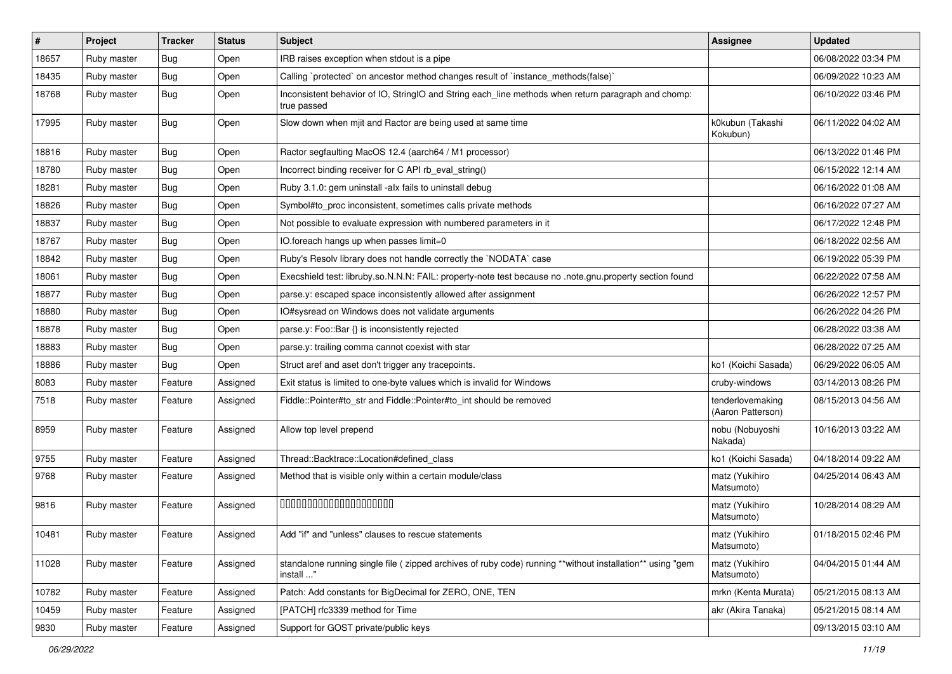| #     | Project     | <b>Tracker</b> | <b>Status</b> | <b>Subject</b>                                                                                                          | <b>Assignee</b>                       | <b>Updated</b>      |
|-------|-------------|----------------|---------------|-------------------------------------------------------------------------------------------------------------------------|---------------------------------------|---------------------|
| 18657 | Ruby master | <b>Bug</b>     | Open          | IRB raises exception when stdout is a pipe                                                                              |                                       | 06/08/2022 03:34 PM |
| 18435 | Ruby master | <b>Bug</b>     | Open          | Calling `protected` on ancestor method changes result of `instance_methods(false)`                                      |                                       | 06/09/2022 10:23 AM |
| 18768 | Ruby master | <b>Bug</b>     | Open          | Inconsistent behavior of IO, StringIO and String each_line methods when return paragraph and chomp:<br>true passed      |                                       | 06/10/2022 03:46 PM |
| 17995 | Ruby master | Bug            | Open          | Slow down when mjit and Ractor are being used at same time                                                              | k0kubun (Takashi<br>Kokubun)          | 06/11/2022 04:02 AM |
| 18816 | Ruby master | <b>Bug</b>     | Open          | Ractor segfaulting MacOS 12.4 (aarch64 / M1 processor)                                                                  |                                       | 06/13/2022 01:46 PM |
| 18780 | Ruby master | Bug            | Open          | Incorrect binding receiver for C API rb_eval_string()                                                                   |                                       | 06/15/2022 12:14 AM |
| 18281 | Ruby master | <b>Bug</b>     | Open          | Ruby 3.1.0: gem uninstall -alx fails to uninstall debug                                                                 |                                       | 06/16/2022 01:08 AM |
| 18826 | Ruby master | Bug            | Open          | Symbol#to_proc inconsistent, sometimes calls private methods                                                            |                                       | 06/16/2022 07:27 AM |
| 18837 | Ruby master | <b>Bug</b>     | Open          | Not possible to evaluate expression with numbered parameters in it                                                      |                                       | 06/17/2022 12:48 PM |
| 18767 | Ruby master | <b>Bug</b>     | Open          | IO.foreach hangs up when passes limit=0                                                                                 |                                       | 06/18/2022 02:56 AM |
| 18842 | Ruby master | Bug            | Open          | Ruby's Resolv library does not handle correctly the `NODATA` case                                                       |                                       | 06/19/2022 05:39 PM |
| 18061 | Ruby master | Bug            | Open          | Execshield test: libruby.so.N.N.N: FAIL: property-note test because no .note.gnu.property section found                 |                                       | 06/22/2022 07:58 AM |
| 18877 | Ruby master | Bug            | Open          | parse.y: escaped space inconsistently allowed after assignment                                                          |                                       | 06/26/2022 12:57 PM |
| 18880 | Ruby master | Bug            | Open          | IO#sysread on Windows does not validate arguments                                                                       |                                       | 06/26/2022 04:26 PM |
| 18878 | Ruby master | <b>Bug</b>     | Open          | parse.y: Foo::Bar {} is inconsistently rejected                                                                         |                                       | 06/28/2022 03:38 AM |
| 18883 | Ruby master | Bug            | Open          | parse.y: trailing comma cannot coexist with star                                                                        |                                       | 06/28/2022 07:25 AM |
| 18886 | Ruby master | <b>Bug</b>     | Open          | Struct aref and aset don't trigger any tracepoints.                                                                     | ko1 (Koichi Sasada)                   | 06/29/2022 06:05 AM |
| 8083  | Ruby master | Feature        | Assigned      | Exit status is limited to one-byte values which is invalid for Windows                                                  | cruby-windows                         | 03/14/2013 08:26 PM |
| 7518  | Ruby master | Feature        | Assigned      | Fiddle::Pointer#to_str and Fiddle::Pointer#to_int should be removed                                                     | tenderlovemaking<br>(Aaron Patterson) | 08/15/2013 04:56 AM |
| 8959  | Ruby master | Feature        | Assigned      | Allow top level prepend                                                                                                 | nobu (Nobuyoshi<br>Nakada)            | 10/16/2013 03:22 AM |
| 9755  | Ruby master | Feature        | Assigned      | Thread::Backtrace::Location#defined_class                                                                               | ko1 (Koichi Sasada)                   | 04/18/2014 09:22 AM |
| 9768  | Ruby master | Feature        | Assigned      | Method that is visible only within a certain module/class                                                               | matz (Yukihiro<br>Matsumoto)          | 04/25/2014 06:43 AM |
| 9816  | Ruby master | Feature        | Assigned      | 00000000000000000000                                                                                                    | matz (Yukihiro<br>Matsumoto)          | 10/28/2014 08:29 AM |
| 10481 | Ruby master | Feature        | Assigned      | Add "if" and "unless" clauses to rescue statements                                                                      | matz (Yukihiro<br>Matsumoto)          | 01/18/2015 02:46 PM |
| 11028 | Ruby master | Feature        | Assigned      | standalone running single file ( zipped archives of ruby code) running **without installation** using "gem<br>install " | matz (Yukihiro<br>Matsumoto)          | 04/04/2015 01:44 AM |
| 10782 | Ruby master | Feature        | Assigned      | Patch: Add constants for BigDecimal for ZERO, ONE, TEN                                                                  | mrkn (Kenta Murata)                   | 05/21/2015 08:13 AM |
| 10459 | Ruby master | Feature        | Assigned      | [PATCH] rfc3339 method for Time                                                                                         | akr (Akira Tanaka)                    | 05/21/2015 08:14 AM |
| 9830  | Ruby master | Feature        | Assigned      | Support for GOST private/public keys                                                                                    |                                       | 09/13/2015 03:10 AM |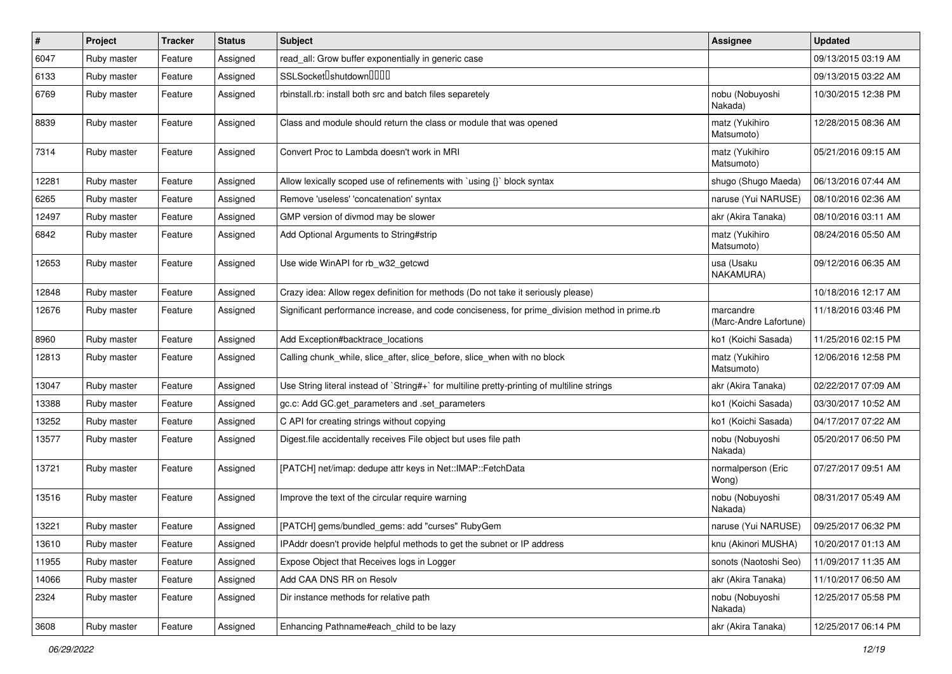| $\#$  | Project     | <b>Tracker</b> | <b>Status</b> | <b>Subject</b>                                                                                | <b>Assignee</b>                     | <b>Updated</b>      |
|-------|-------------|----------------|---------------|-----------------------------------------------------------------------------------------------|-------------------------------------|---------------------|
| 6047  | Ruby master | Feature        | Assigned      | read_all: Grow buffer exponentially in generic case                                           |                                     | 09/13/2015 03:19 AM |
| 6133  | Ruby master | Feature        | Assigned      | SSLSocket <sup>[</sup> shutdown <sup>[11]</sup>                                               |                                     | 09/13/2015 03:22 AM |
| 6769  | Ruby master | Feature        | Assigned      | rbinstall.rb: install both src and batch files separetely                                     | nobu (Nobuyoshi<br>Nakada)          | 10/30/2015 12:38 PM |
| 8839  | Ruby master | Feature        | Assigned      | Class and module should return the class or module that was opened                            | matz (Yukihiro<br>Matsumoto)        | 12/28/2015 08:36 AM |
| 7314  | Ruby master | Feature        | Assigned      | Convert Proc to Lambda doesn't work in MRI                                                    | matz (Yukihiro<br>Matsumoto)        | 05/21/2016 09:15 AM |
| 12281 | Ruby master | Feature        | Assigned      | Allow lexically scoped use of refinements with `using {}` block syntax                        | shugo (Shugo Maeda)                 | 06/13/2016 07:44 AM |
| 6265  | Ruby master | Feature        | Assigned      | Remove 'useless' 'concatenation' syntax                                                       | naruse (Yui NARUSE)                 | 08/10/2016 02:36 AM |
| 12497 | Ruby master | Feature        | Assigned      | GMP version of divmod may be slower                                                           | akr (Akira Tanaka)                  | 08/10/2016 03:11 AM |
| 6842  | Ruby master | Feature        | Assigned      | Add Optional Arguments to String#strip                                                        | matz (Yukihiro<br>Matsumoto)        | 08/24/2016 05:50 AM |
| 12653 | Ruby master | Feature        | Assigned      | Use wide WinAPI for rb_w32_getcwd                                                             | usa (Usaku<br>NAKAMURA)             | 09/12/2016 06:35 AM |
| 12848 | Ruby master | Feature        | Assigned      | Crazy idea: Allow regex definition for methods (Do not take it seriously please)              |                                     | 10/18/2016 12:17 AM |
| 12676 | Ruby master | Feature        | Assigned      | Significant performance increase, and code conciseness, for prime_division method in prime.rb | marcandre<br>(Marc-Andre Lafortune) | 11/18/2016 03:46 PM |
| 8960  | Ruby master | Feature        | Assigned      | Add Exception#backtrace locations                                                             | ko1 (Koichi Sasada)                 | 11/25/2016 02:15 PM |
| 12813 | Ruby master | Feature        | Assigned      | Calling chunk_while, slice_after, slice_before, slice_when with no block                      | matz (Yukihiro<br>Matsumoto)        | 12/06/2016 12:58 PM |
| 13047 | Ruby master | Feature        | Assigned      | Use String literal instead of `String#+` for multiline pretty-printing of multiline strings   | akr (Akira Tanaka)                  | 02/22/2017 07:09 AM |
| 13388 | Ruby master | Feature        | Assigned      | gc.c: Add GC.get_parameters and .set_parameters                                               | ko1 (Koichi Sasada)                 | 03/30/2017 10:52 AM |
| 13252 | Ruby master | Feature        | Assigned      | C API for creating strings without copying                                                    | ko1 (Koichi Sasada)                 | 04/17/2017 07:22 AM |
| 13577 | Ruby master | Feature        | Assigned      | Digest file accidentally receives File object but uses file path                              | nobu (Nobuyoshi<br>Nakada)          | 05/20/2017 06:50 PM |
| 13721 | Ruby master | Feature        | Assigned      | [PATCH] net/imap: dedupe attr keys in Net::IMAP::FetchData                                    | normalperson (Eric<br>Wong)         | 07/27/2017 09:51 AM |
| 13516 | Ruby master | Feature        | Assigned      | Improve the text of the circular require warning                                              | nobu (Nobuyoshi<br>Nakada)          | 08/31/2017 05:49 AM |
| 13221 | Ruby master | Feature        | Assigned      | [PATCH] gems/bundled_gems: add "curses" RubyGem                                               | naruse (Yui NARUSE)                 | 09/25/2017 06:32 PM |
| 13610 | Ruby master | Feature        | Assigned      | IPAddr doesn't provide helpful methods to get the subnet or IP address                        | knu (Akinori MUSHA)                 | 10/20/2017 01:13 AM |
| 11955 | Ruby master | Feature        | Assigned      | Expose Object that Receives logs in Logger                                                    | sonots (Naotoshi Seo)               | 11/09/2017 11:35 AM |
| 14066 | Ruby master | Feature        | Assigned      | Add CAA DNS RR on Resolv                                                                      | akr (Akira Tanaka)                  | 11/10/2017 06:50 AM |
| 2324  | Ruby master | Feature        | Assigned      | Dir instance methods for relative path                                                        | nobu (Nobuyoshi<br>Nakada)          | 12/25/2017 05:58 PM |
| 3608  | Ruby master | Feature        | Assigned      | Enhancing Pathname#each_child to be lazy                                                      | akr (Akira Tanaka)                  | 12/25/2017 06:14 PM |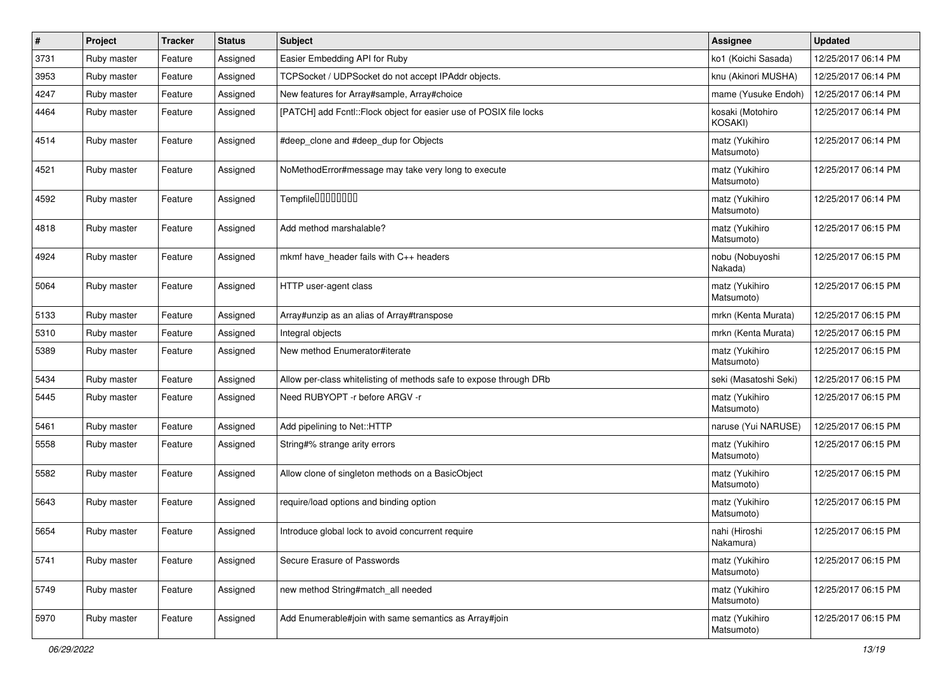| $\#$ | Project     | <b>Tracker</b> | <b>Status</b> | Subject                                                            | Assignee                     | <b>Updated</b>      |
|------|-------------|----------------|---------------|--------------------------------------------------------------------|------------------------------|---------------------|
| 3731 | Ruby master | Feature        | Assigned      | Easier Embedding API for Ruby                                      | ko1 (Koichi Sasada)          | 12/25/2017 06:14 PM |
| 3953 | Ruby master | Feature        | Assigned      | TCPSocket / UDPSocket do not accept IPAddr objects.                | knu (Akinori MUSHA)          | 12/25/2017 06:14 PM |
| 4247 | Ruby master | Feature        | Assigned      | New features for Array#sample, Array#choice                        | mame (Yusuke Endoh)          | 12/25/2017 06:14 PM |
| 4464 | Ruby master | Feature        | Assigned      | [PATCH] add Fcntl::Flock object for easier use of POSIX file locks | kosaki (Motohiro<br>KOSAKI)  | 12/25/2017 06:14 PM |
| 4514 | Ruby master | Feature        | Assigned      | #deep_clone and #deep_dup for Objects                              | matz (Yukihiro<br>Matsumoto) | 12/25/2017 06:14 PM |
| 4521 | Ruby master | Feature        | Assigned      | NoMethodError#message may take very long to execute                | matz (Yukihiro<br>Matsumoto) | 12/25/2017 06:14 PM |
| 4592 | Ruby master | Feature        | Assigned      | Tempfile0000000                                                    | matz (Yukihiro<br>Matsumoto) | 12/25/2017 06:14 PM |
| 4818 | Ruby master | Feature        | Assigned      | Add method marshalable?                                            | matz (Yukihiro<br>Matsumoto) | 12/25/2017 06:15 PM |
| 4924 | Ruby master | Feature        | Assigned      | mkmf have_header fails with C++ headers                            | nobu (Nobuyoshi<br>Nakada)   | 12/25/2017 06:15 PM |
| 5064 | Ruby master | Feature        | Assigned      | HTTP user-agent class                                              | matz (Yukihiro<br>Matsumoto) | 12/25/2017 06:15 PM |
| 5133 | Ruby master | Feature        | Assigned      | Array#unzip as an alias of Array#transpose                         | mrkn (Kenta Murata)          | 12/25/2017 06:15 PM |
| 5310 | Ruby master | Feature        | Assigned      | Integral objects                                                   | mrkn (Kenta Murata)          | 12/25/2017 06:15 PM |
| 5389 | Ruby master | Feature        | Assigned      | New method Enumerator#iterate                                      | matz (Yukihiro<br>Matsumoto) | 12/25/2017 06:15 PM |
| 5434 | Ruby master | Feature        | Assigned      | Allow per-class whitelisting of methods safe to expose through DRb | seki (Masatoshi Seki)        | 12/25/2017 06:15 PM |
| 5445 | Ruby master | Feature        | Assigned      | Need RUBYOPT -r before ARGV -r                                     | matz (Yukihiro<br>Matsumoto) | 12/25/2017 06:15 PM |
| 5461 | Ruby master | Feature        | Assigned      | Add pipelining to Net::HTTP                                        | naruse (Yui NARUSE)          | 12/25/2017 06:15 PM |
| 5558 | Ruby master | Feature        | Assigned      | String#% strange arity errors                                      | matz (Yukihiro<br>Matsumoto) | 12/25/2017 06:15 PM |
| 5582 | Ruby master | Feature        | Assigned      | Allow clone of singleton methods on a BasicObject                  | matz (Yukihiro<br>Matsumoto) | 12/25/2017 06:15 PM |
| 5643 | Ruby master | Feature        | Assigned      | require/load options and binding option                            | matz (Yukihiro<br>Matsumoto) | 12/25/2017 06:15 PM |
| 5654 | Ruby master | Feature        | Assigned      | Introduce global lock to avoid concurrent require                  | nahi (Hiroshi<br>Nakamura)   | 12/25/2017 06:15 PM |
| 5741 | Ruby master | Feature        | Assigned      | Secure Erasure of Passwords                                        | matz (Yukihiro<br>Matsumoto) | 12/25/2017 06:15 PM |
| 5749 | Ruby master | Feature        | Assigned      | new method String#match_all needed                                 | matz (Yukihiro<br>Matsumoto) | 12/25/2017 06:15 PM |
| 5970 | Ruby master | Feature        | Assigned      | Add Enumerable#join with same semantics as Array#join              | matz (Yukihiro<br>Matsumoto) | 12/25/2017 06:15 PM |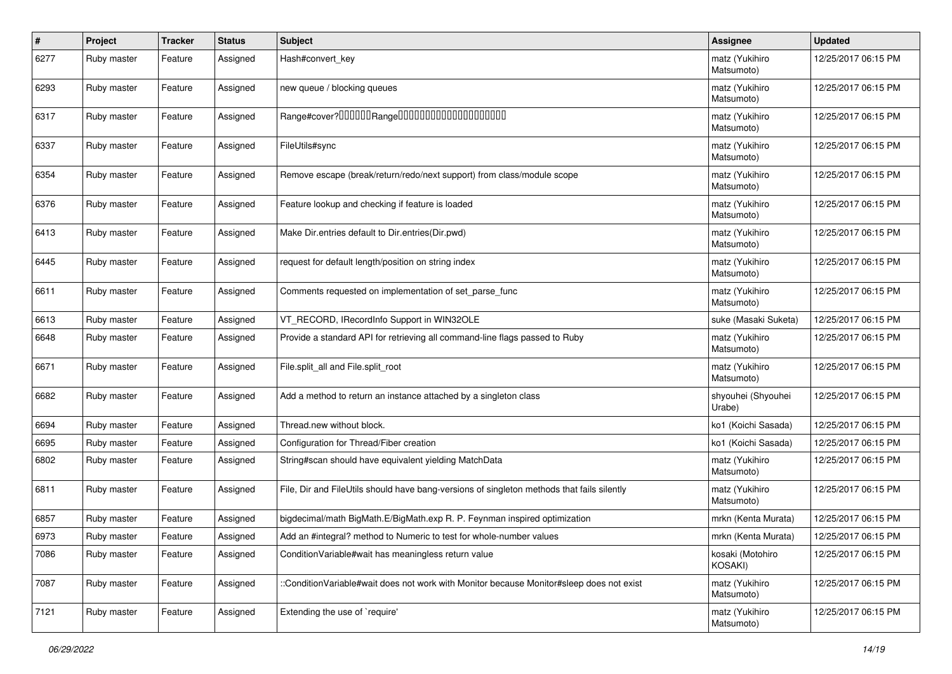| #    | Project     | <b>Tracker</b> | <b>Status</b> | <b>Subject</b>                                                                             | Assignee                     | <b>Updated</b>      |
|------|-------------|----------------|---------------|--------------------------------------------------------------------------------------------|------------------------------|---------------------|
| 6277 | Ruby master | Feature        | Assigned      | Hash#convert_key                                                                           | matz (Yukihiro<br>Matsumoto) | 12/25/2017 06:15 PM |
| 6293 | Ruby master | Feature        | Assigned      | new queue / blocking queues                                                                | matz (Yukihiro<br>Matsumoto) | 12/25/2017 06:15 PM |
| 6317 | Ruby master | Feature        | Assigned      | Range#cover?000000Range00000000000000000000                                                | matz (Yukihiro<br>Matsumoto) | 12/25/2017 06:15 PM |
| 6337 | Ruby master | Feature        | Assigned      | FileUtils#sync                                                                             | matz (Yukihiro<br>Matsumoto) | 12/25/2017 06:15 PM |
| 6354 | Ruby master | Feature        | Assigned      | Remove escape (break/return/redo/next support) from class/module scope                     | matz (Yukihiro<br>Matsumoto) | 12/25/2017 06:15 PM |
| 6376 | Ruby master | Feature        | Assigned      | Feature lookup and checking if feature is loaded                                           | matz (Yukihiro<br>Matsumoto) | 12/25/2017 06:15 PM |
| 6413 | Ruby master | Feature        | Assigned      | Make Dir.entries default to Dir.entries(Dir.pwd)                                           | matz (Yukihiro<br>Matsumoto) | 12/25/2017 06:15 PM |
| 6445 | Ruby master | Feature        | Assigned      | request for default length/position on string index                                        | matz (Yukihiro<br>Matsumoto) | 12/25/2017 06:15 PM |
| 6611 | Ruby master | Feature        | Assigned      | Comments requested on implementation of set_parse_func                                     | matz (Yukihiro<br>Matsumoto) | 12/25/2017 06:15 PM |
| 6613 | Ruby master | Feature        | Assigned      | VT RECORD, IRecordInfo Support in WIN32OLE                                                 | suke (Masaki Suketa)         | 12/25/2017 06:15 PM |
| 6648 | Ruby master | Feature        | Assigned      | Provide a standard API for retrieving all command-line flags passed to Ruby                | matz (Yukihiro<br>Matsumoto) | 12/25/2017 06:15 PM |
| 6671 | Ruby master | Feature        | Assigned      | File.split_all and File.split_root                                                         | matz (Yukihiro<br>Matsumoto) | 12/25/2017 06:15 PM |
| 6682 | Ruby master | Feature        | Assigned      | Add a method to return an instance attached by a singleton class                           | shyouhei (Shyouhei<br>Urabe) | 12/25/2017 06:15 PM |
| 6694 | Ruby master | Feature        | Assigned      | Thread.new without block.                                                                  | ko1 (Koichi Sasada)          | 12/25/2017 06:15 PM |
| 6695 | Ruby master | Feature        | Assigned      | Configuration for Thread/Fiber creation                                                    | ko1 (Koichi Sasada)          | 12/25/2017 06:15 PM |
| 6802 | Ruby master | Feature        | Assigned      | String#scan should have equivalent yielding MatchData                                      | matz (Yukihiro<br>Matsumoto) | 12/25/2017 06:15 PM |
| 6811 | Ruby master | Feature        | Assigned      | File, Dir and FileUtils should have bang-versions of singleton methods that fails silently | matz (Yukihiro<br>Matsumoto) | 12/25/2017 06:15 PM |
| 6857 | Ruby master | Feature        | Assigned      | bigdecimal/math BigMath.E/BigMath.exp R. P. Feynman inspired optimization                  | mrkn (Kenta Murata)          | 12/25/2017 06:15 PM |
| 6973 | Ruby master | Feature        | Assigned      | Add an #integral? method to Numeric to test for whole-number values                        | mrkn (Kenta Murata)          | 12/25/2017 06:15 PM |
| 7086 | Ruby master | Feature        | Assigned      | Condition Variable#wait has meaningless return value                                       | kosaki (Motohiro<br>KOSAKI)  | 12/25/2017 06:15 PM |
| 7087 | Ruby master | Feature        | Assigned      | :ConditionVariable#wait does not work with Monitor because Monitor#sleep does not exist    | matz (Yukihiro<br>Matsumoto) | 12/25/2017 06:15 PM |
| 7121 | Ruby master | Feature        | Assigned      | Extending the use of `require'                                                             | matz (Yukihiro<br>Matsumoto) | 12/25/2017 06:15 PM |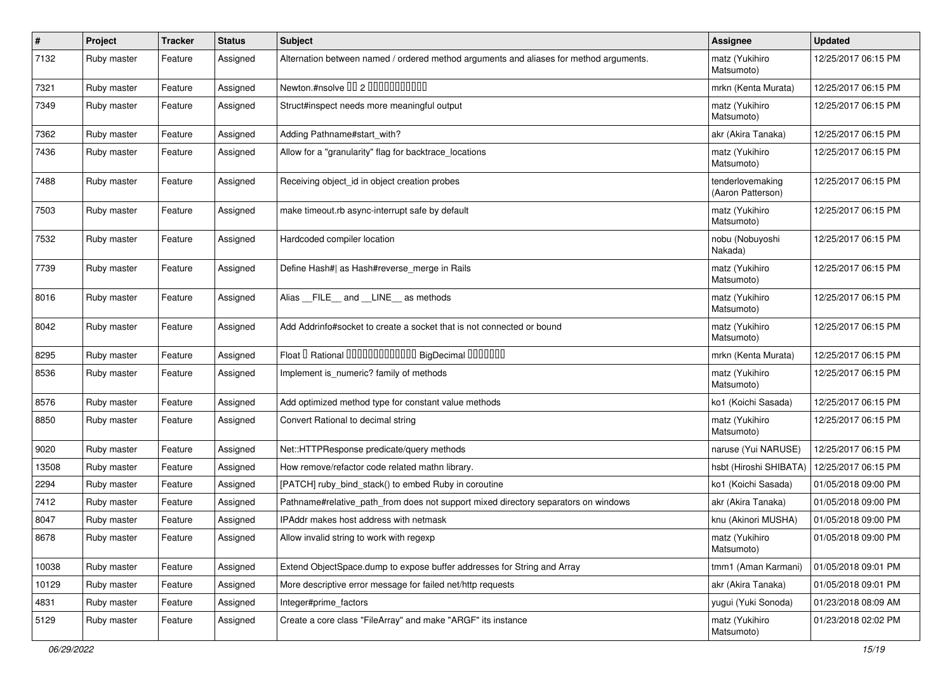| $\pmb{\#}$ | Project     | <b>Tracker</b> | <b>Status</b> | <b>Subject</b>                                                                         | Assignee                              | <b>Updated</b>      |
|------------|-------------|----------------|---------------|----------------------------------------------------------------------------------------|---------------------------------------|---------------------|
| 7132       | Ruby master | Feature        | Assigned      | Alternation between named / ordered method arguments and aliases for method arguments. | matz (Yukihiro<br>Matsumoto)          | 12/25/2017 06:15 PM |
| 7321       | Ruby master | Feature        | Assigned      | Newton.#nsolve 00 2 0000000000                                                         | mrkn (Kenta Murata)                   | 12/25/2017 06:15 PM |
| 7349       | Ruby master | Feature        | Assigned      | Struct#inspect needs more meaningful output                                            | matz (Yukihiro<br>Matsumoto)          | 12/25/2017 06:15 PM |
| 7362       | Ruby master | Feature        | Assigned      | Adding Pathname#start with?                                                            | akr (Akira Tanaka)                    | 12/25/2017 06:15 PM |
| 7436       | Ruby master | Feature        | Assigned      | Allow for a "granularity" flag for backtrace_locations                                 | matz (Yukihiro<br>Matsumoto)          | 12/25/2017 06:15 PM |
| 7488       | Ruby master | Feature        | Assigned      | Receiving object_id in object creation probes                                          | tenderlovemaking<br>(Aaron Patterson) | 12/25/2017 06:15 PM |
| 7503       | Ruby master | Feature        | Assigned      | make timeout.rb async-interrupt safe by default                                        | matz (Yukihiro<br>Matsumoto)          | 12/25/2017 06:15 PM |
| 7532       | Ruby master | Feature        | Assigned      | Hardcoded compiler location                                                            | nobu (Nobuyoshi<br>Nakada)            | 12/25/2017 06:15 PM |
| 7739       | Ruby master | Feature        | Assigned      | Define Hash#  as Hash#reverse_merge in Rails                                           | matz (Yukihiro<br>Matsumoto)          | 12/25/2017 06:15 PM |
| 8016       | Ruby master | Feature        | Assigned      | Alias FILE and LINE as methods                                                         | matz (Yukihiro<br>Matsumoto)          | 12/25/2017 06:15 PM |
| 8042       | Ruby master | Feature        | Assigned      | Add Addrinfo#socket to create a socket that is not connected or bound                  | matz (Yukihiro<br>Matsumoto)          | 12/25/2017 06:15 PM |
| 8295       | Ruby master | Feature        | Assigned      | Float I Rational 0000000000000 BigDecimal 0000000                                      | mrkn (Kenta Murata)                   | 12/25/2017 06:15 PM |
| 8536       | Ruby master | Feature        | Assigned      | Implement is_numeric? family of methods                                                | matz (Yukihiro<br>Matsumoto)          | 12/25/2017 06:15 PM |
| 8576       | Ruby master | Feature        | Assigned      | Add optimized method type for constant value methods                                   | ko1 (Koichi Sasada)                   | 12/25/2017 06:15 PM |
| 8850       | Ruby master | Feature        | Assigned      | Convert Rational to decimal string                                                     | matz (Yukihiro<br>Matsumoto)          | 12/25/2017 06:15 PM |
| 9020       | Ruby master | Feature        | Assigned      | Net::HTTPResponse predicate/query methods                                              | naruse (Yui NARUSE)                   | 12/25/2017 06:15 PM |
| 13508      | Ruby master | Feature        | Assigned      | How remove/refactor code related mathn library.                                        | hsbt (Hiroshi SHIBATA)                | 12/25/2017 06:15 PM |
| 2294       | Ruby master | Feature        | Assigned      | [PATCH] ruby bind stack() to embed Ruby in coroutine                                   | ko1 (Koichi Sasada)                   | 01/05/2018 09:00 PM |
| 7412       | Ruby master | Feature        | Assigned      | Pathname#relative_path_from does not support mixed directory separators on windows     | akr (Akira Tanaka)                    | 01/05/2018 09:00 PM |
| 8047       | Ruby master | Feature        | Assigned      | IPAddr makes host address with netmask                                                 | knu (Akinori MUSHA)                   | 01/05/2018 09:00 PM |
| 8678       | Ruby master | Feature        | Assigned      | Allow invalid string to work with regexp                                               | matz (Yukihiro<br>Matsumoto)          | 01/05/2018 09:00 PM |
| 10038      | Ruby master | Feature        | Assigned      | Extend ObjectSpace.dump to expose buffer addresses for String and Array                | tmm1 (Aman Karmani)                   | 01/05/2018 09:01 PM |
| 10129      | Ruby master | Feature        | Assigned      | More descriptive error message for failed net/http requests                            | akr (Akira Tanaka)                    | 01/05/2018 09:01 PM |
| 4831       | Ruby master | Feature        | Assigned      | Integer#prime factors                                                                  | yugui (Yuki Sonoda)                   | 01/23/2018 08:09 AM |
| 5129       | Ruby master | Feature        | Assigned      | Create a core class "FileArray" and make "ARGF" its instance                           | matz (Yukihiro<br>Matsumoto)          | 01/23/2018 02:02 PM |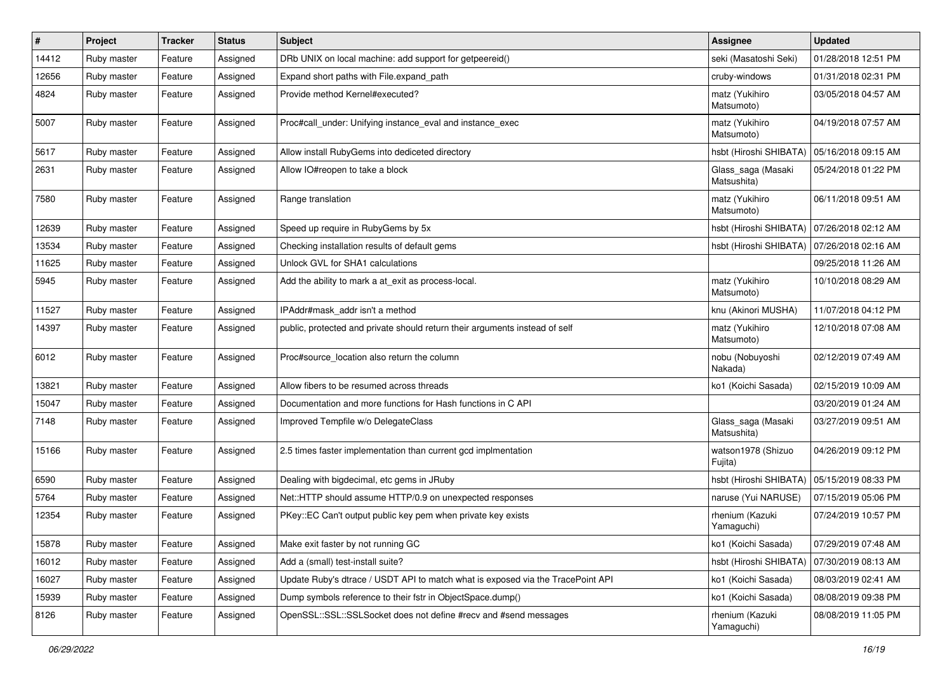| $\vert$ # | Project     | <b>Tracker</b> | <b>Status</b> | Subject                                                                         | Assignee                          | <b>Updated</b>      |
|-----------|-------------|----------------|---------------|---------------------------------------------------------------------------------|-----------------------------------|---------------------|
| 14412     | Ruby master | Feature        | Assigned      | DRb UNIX on local machine: add support for getpeereid()                         | seki (Masatoshi Seki)             | 01/28/2018 12:51 PM |
| 12656     | Ruby master | Feature        | Assigned      | Expand short paths with File.expand_path                                        | cruby-windows                     | 01/31/2018 02:31 PM |
| 4824      | Ruby master | Feature        | Assigned      | Provide method Kernel#executed?                                                 | matz (Yukihiro<br>Matsumoto)      | 03/05/2018 04:57 AM |
| 5007      | Ruby master | Feature        | Assigned      | Proc#call_under: Unifying instance_eval and instance_exec                       | matz (Yukihiro<br>Matsumoto)      | 04/19/2018 07:57 AM |
| 5617      | Ruby master | Feature        | Assigned      | Allow install RubyGems into dediceted directory                                 | hsbt (Hiroshi SHIBATA)            | 05/16/2018 09:15 AM |
| 2631      | Ruby master | Feature        | Assigned      | Allow IO#reopen to take a block                                                 | Glass_saga (Masaki<br>Matsushita) | 05/24/2018 01:22 PM |
| 7580      | Ruby master | Feature        | Assigned      | Range translation                                                               | matz (Yukihiro<br>Matsumoto)      | 06/11/2018 09:51 AM |
| 12639     | Ruby master | Feature        | Assigned      | Speed up require in RubyGems by 5x                                              | hsbt (Hiroshi SHIBATA)            | 07/26/2018 02:12 AM |
| 13534     | Ruby master | Feature        | Assigned      | Checking installation results of default gems                                   | hsbt (Hiroshi SHIBATA)            | 07/26/2018 02:16 AM |
| 11625     | Ruby master | Feature        | Assigned      | Unlock GVL for SHA1 calculations                                                |                                   | 09/25/2018 11:26 AM |
| 5945      | Ruby master | Feature        | Assigned      | Add the ability to mark a at_exit as process-local.                             | matz (Yukihiro<br>Matsumoto)      | 10/10/2018 08:29 AM |
| 11527     | Ruby master | Feature        | Assigned      | IPAddr#mask_addr isn't a method                                                 | knu (Akinori MUSHA)               | 11/07/2018 04:12 PM |
| 14397     | Ruby master | Feature        | Assigned      | public, protected and private should return their arguments instead of self     | matz (Yukihiro<br>Matsumoto)      | 12/10/2018 07:08 AM |
| 6012      | Ruby master | Feature        | Assigned      | Proc#source_location also return the column                                     | nobu (Nobuyoshi<br>Nakada)        | 02/12/2019 07:49 AM |
| 13821     | Ruby master | Feature        | Assigned      | Allow fibers to be resumed across threads                                       | ko1 (Koichi Sasada)               | 02/15/2019 10:09 AM |
| 15047     | Ruby master | Feature        | Assigned      | Documentation and more functions for Hash functions in C API                    |                                   | 03/20/2019 01:24 AM |
| 7148      | Ruby master | Feature        | Assigned      | Improved Tempfile w/o DelegateClass                                             | Glass_saga (Masaki<br>Matsushita) | 03/27/2019 09:51 AM |
| 15166     | Ruby master | Feature        | Assigned      | 2.5 times faster implementation than current gcd implmentation                  | watson1978 (Shizuo<br>Fujita)     | 04/26/2019 09:12 PM |
| 6590      | Ruby master | Feature        | Assigned      | Dealing with bigdecimal, etc gems in JRuby                                      | hsbt (Hiroshi SHIBATA)            | 05/15/2019 08:33 PM |
| 5764      | Ruby master | Feature        | Assigned      | Net::HTTP should assume HTTP/0.9 on unexpected responses                        | naruse (Yui NARUSE)               | 07/15/2019 05:06 PM |
| 12354     | Ruby master | Feature        | Assigned      | PKey::EC Can't output public key pem when private key exists                    | rhenium (Kazuki<br>Yamaguchi)     | 07/24/2019 10:57 PM |
| 15878     | Ruby master | Feature        | Assigned      | Make exit faster by not running GC                                              | ko1 (Koichi Sasada)               | 07/29/2019 07:48 AM |
| 16012     | Ruby master | Feature        | Assigned      | Add a (small) test-install suite?                                               | hsbt (Hiroshi SHIBATA)            | 07/30/2019 08:13 AM |
| 16027     | Ruby master | Feature        | Assigned      | Update Ruby's dtrace / USDT API to match what is exposed via the TracePoint API | ko1 (Koichi Sasada)               | 08/03/2019 02:41 AM |
| 15939     | Ruby master | Feature        | Assigned      | Dump symbols reference to their fstr in ObjectSpace.dump()                      | ko1 (Koichi Sasada)               | 08/08/2019 09:38 PM |
| 8126      | Ruby master | Feature        | Assigned      | OpenSSL::SSL::SSLSocket does not define #recv and #send messages                | rhenium (Kazuki<br>Yamaguchi)     | 08/08/2019 11:05 PM |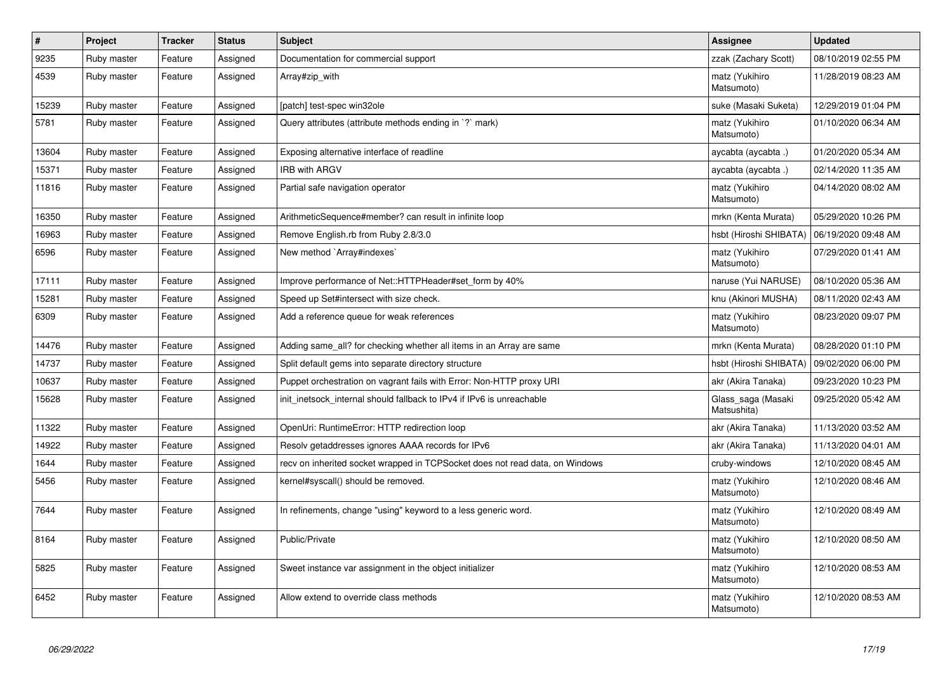| $\pmb{\#}$ | Project     | <b>Tracker</b> | <b>Status</b> | <b>Subject</b>                                                               | Assignee                          | <b>Updated</b>      |
|------------|-------------|----------------|---------------|------------------------------------------------------------------------------|-----------------------------------|---------------------|
| 9235       | Ruby master | Feature        | Assigned      | Documentation for commercial support                                         | zzak (Zachary Scott)              | 08/10/2019 02:55 PM |
| 4539       | Ruby master | Feature        | Assigned      | Array#zip with                                                               | matz (Yukihiro<br>Matsumoto)      | 11/28/2019 08:23 AM |
| 15239      | Ruby master | Feature        | Assigned      | [patch] test-spec win32ole                                                   | suke (Masaki Suketa)              | 12/29/2019 01:04 PM |
| 5781       | Ruby master | Feature        | Assigned      | Query attributes (attribute methods ending in `?` mark)                      | matz (Yukihiro<br>Matsumoto)      | 01/10/2020 06:34 AM |
| 13604      | Ruby master | Feature        | Assigned      | Exposing alternative interface of readline                                   | aycabta (aycabta.)                | 01/20/2020 05:34 AM |
| 15371      | Ruby master | Feature        | Assigned      | <b>IRB with ARGV</b>                                                         | aycabta (aycabta)                 | 02/14/2020 11:35 AM |
| 11816      | Ruby master | Feature        | Assigned      | Partial safe navigation operator                                             | matz (Yukihiro<br>Matsumoto)      | 04/14/2020 08:02 AM |
| 16350      | Ruby master | Feature        | Assigned      | ArithmeticSequence#member? can result in infinite loop                       | mrkn (Kenta Murata)               | 05/29/2020 10:26 PM |
| 16963      | Ruby master | Feature        | Assigned      | Remove English.rb from Ruby 2.8/3.0                                          | hsbt (Hiroshi SHIBATA)            | 06/19/2020 09:48 AM |
| 6596       | Ruby master | Feature        | Assigned      | New method `Array#indexes`                                                   | matz (Yukihiro<br>Matsumoto)      | 07/29/2020 01:41 AM |
| 17111      | Ruby master | Feature        | Assigned      | Improve performance of Net::HTTPHeader#set form by 40%                       | naruse (Yui NARUSE)               | 08/10/2020 05:36 AM |
| 15281      | Ruby master | Feature        | Assigned      | Speed up Set#intersect with size check.                                      | knu (Akinori MUSHA)               | 08/11/2020 02:43 AM |
| 6309       | Ruby master | Feature        | Assigned      | Add a reference queue for weak references                                    | matz (Yukihiro<br>Matsumoto)      | 08/23/2020 09:07 PM |
| 14476      | Ruby master | Feature        | Assigned      | Adding same_all? for checking whether all items in an Array are same         | mrkn (Kenta Murata)               | 08/28/2020 01:10 PM |
| 14737      | Ruby master | Feature        | Assigned      | Split default gems into separate directory structure                         | hsbt (Hiroshi SHIBATA)            | 09/02/2020 06:00 PM |
| 10637      | Ruby master | Feature        | Assigned      | Puppet orchestration on vagrant fails with Error: Non-HTTP proxy URI         | akr (Akira Tanaka)                | 09/23/2020 10:23 PM |
| 15628      | Ruby master | Feature        | Assigned      | init inetsock internal should fallback to IPv4 if IPv6 is unreachable        | Glass saga (Masaki<br>Matsushita) | 09/25/2020 05:42 AM |
| 11322      | Ruby master | Feature        | Assigned      | OpenUri: RuntimeError: HTTP redirection loop                                 | akr (Akira Tanaka)                | 11/13/2020 03:52 AM |
| 14922      | Ruby master | Feature        | Assigned      | Resolv getaddresses ignores AAAA records for IPv6                            | akr (Akira Tanaka)                | 11/13/2020 04:01 AM |
| 1644       | Ruby master | Feature        | Assigned      | recv on inherited socket wrapped in TCPSocket does not read data, on Windows | cruby-windows                     | 12/10/2020 08:45 AM |
| 5456       | Ruby master | Feature        | Assigned      | kernel#syscall() should be removed.                                          | matz (Yukihiro<br>Matsumoto)      | 12/10/2020 08:46 AM |
| 7644       | Ruby master | Feature        | Assigned      | In refinements, change "using" keyword to a less generic word.               | matz (Yukihiro<br>Matsumoto)      | 12/10/2020 08:49 AM |
| 8164       | Ruby master | Feature        | Assigned      | Public/Private                                                               | matz (Yukihiro<br>Matsumoto)      | 12/10/2020 08:50 AM |
| 5825       | Ruby master | Feature        | Assigned      | Sweet instance var assignment in the object initializer                      | matz (Yukihiro<br>Matsumoto)      | 12/10/2020 08:53 AM |
| 6452       | Ruby master | Feature        | Assigned      | Allow extend to override class methods                                       | matz (Yukihiro<br>Matsumoto)      | 12/10/2020 08:53 AM |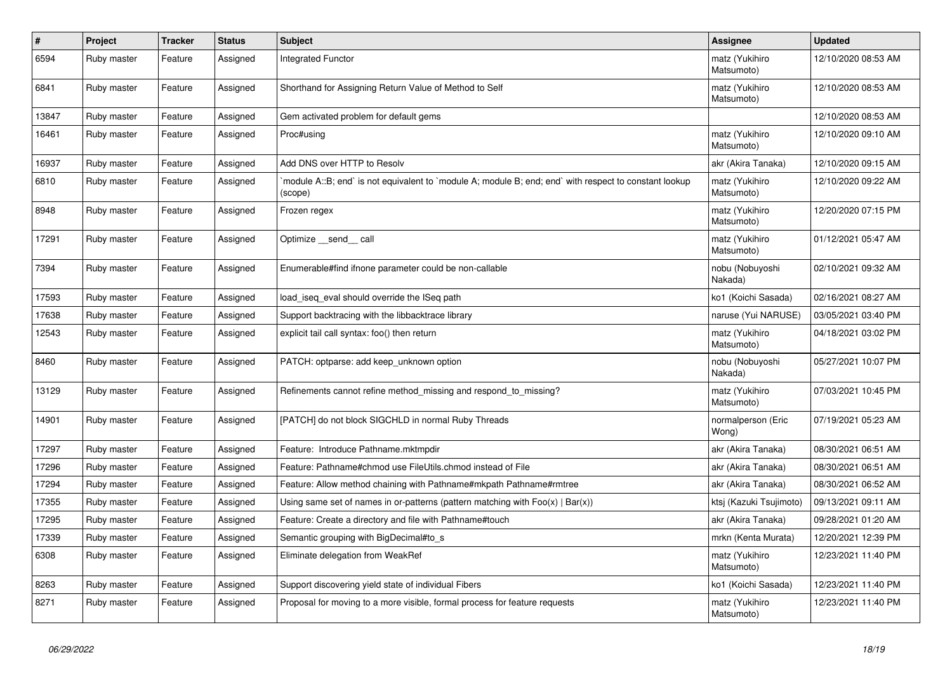| $\sharp$ | Project     | <b>Tracker</b> | <b>Status</b> | <b>Subject</b>                                                                                                   | <b>Assignee</b>              | <b>Updated</b>      |
|----------|-------------|----------------|---------------|------------------------------------------------------------------------------------------------------------------|------------------------------|---------------------|
| 6594     | Ruby master | Feature        | Assigned      | <b>Integrated Functor</b>                                                                                        | matz (Yukihiro<br>Matsumoto) | 12/10/2020 08:53 AM |
| 6841     | Ruby master | Feature        | Assigned      | Shorthand for Assigning Return Value of Method to Self                                                           | matz (Yukihiro<br>Matsumoto) | 12/10/2020 08:53 AM |
| 13847    | Ruby master | Feature        | Assigned      | Gem activated problem for default gems                                                                           |                              | 12/10/2020 08:53 AM |
| 16461    | Ruby master | Feature        | Assigned      | Proc#using                                                                                                       | matz (Yukihiro<br>Matsumoto) | 12/10/2020 09:10 AM |
| 16937    | Ruby master | Feature        | Assigned      | Add DNS over HTTP to Resolv                                                                                      | akr (Akira Tanaka)           | 12/10/2020 09:15 AM |
| 6810     | Ruby master | Feature        | Assigned      | module A::B; end` is not equivalent to `module A; module B; end; end` with respect to constant lookup<br>(scope) | matz (Yukihiro<br>Matsumoto) | 12/10/2020 09:22 AM |
| 8948     | Ruby master | Feature        | Assigned      | Frozen regex                                                                                                     | matz (Yukihiro<br>Matsumoto) | 12/20/2020 07:15 PM |
| 17291    | Ruby master | Feature        | Assigned      | Optimize send call                                                                                               | matz (Yukihiro<br>Matsumoto) | 01/12/2021 05:47 AM |
| 7394     | Ruby master | Feature        | Assigned      | Enumerable#find ifnone parameter could be non-callable                                                           | nobu (Nobuyoshi<br>Nakada)   | 02/10/2021 09:32 AM |
| 17593    | Ruby master | Feature        | Assigned      | load iseg eval should override the ISeg path                                                                     | ko1 (Koichi Sasada)          | 02/16/2021 08:27 AM |
| 17638    | Ruby master | Feature        | Assigned      | Support backtracing with the libbacktrace library                                                                | naruse (Yui NARUSE)          | 03/05/2021 03:40 PM |
| 12543    | Ruby master | Feature        | Assigned      | explicit tail call syntax: foo() then return                                                                     | matz (Yukihiro<br>Matsumoto) | 04/18/2021 03:02 PM |
| 8460     | Ruby master | Feature        | Assigned      | PATCH: optparse: add keep_unknown option                                                                         | nobu (Nobuyoshi<br>Nakada)   | 05/27/2021 10:07 PM |
| 13129    | Ruby master | Feature        | Assigned      | Refinements cannot refine method missing and respond to missing?                                                 | matz (Yukihiro<br>Matsumoto) | 07/03/2021 10:45 PM |
| 14901    | Ruby master | Feature        | Assigned      | [PATCH] do not block SIGCHLD in normal Ruby Threads                                                              | normalperson (Eric<br>Wong)  | 07/19/2021 05:23 AM |
| 17297    | Ruby master | Feature        | Assigned      | Feature: Introduce Pathname.mktmpdir                                                                             | akr (Akira Tanaka)           | 08/30/2021 06:51 AM |
| 17296    | Ruby master | Feature        | Assigned      | Feature: Pathname#chmod use FileUtils.chmod instead of File                                                      | akr (Akira Tanaka)           | 08/30/2021 06:51 AM |
| 17294    | Ruby master | Feature        | Assigned      | Feature: Allow method chaining with Pathname#mkpath Pathname#rmtree                                              | akr (Akira Tanaka)           | 08/30/2021 06:52 AM |
| 17355    | Ruby master | Feature        | Assigned      | Using same set of names in or-patterns (pattern matching with $Foo(x)   Bar(x)$ )                                | ktsj (Kazuki Tsujimoto)      | 09/13/2021 09:11 AM |
| 17295    | Ruby master | Feature        | Assigned      | Feature: Create a directory and file with Pathname#touch                                                         | akr (Akira Tanaka)           | 09/28/2021 01:20 AM |
| 17339    | Ruby master | Feature        | Assigned      | Semantic grouping with BigDecimal#to_s                                                                           | mrkn (Kenta Murata)          | 12/20/2021 12:39 PM |
| 6308     | Ruby master | Feature        | Assigned      | Eliminate delegation from WeakRef                                                                                | matz (Yukihiro<br>Matsumoto) | 12/23/2021 11:40 PM |
| 8263     | Ruby master | Feature        | Assigned      | Support discovering yield state of individual Fibers                                                             | ko1 (Koichi Sasada)          | 12/23/2021 11:40 PM |
| 8271     | Ruby master | Feature        | Assigned      | Proposal for moving to a more visible, formal process for feature requests                                       | matz (Yukihiro<br>Matsumoto) | 12/23/2021 11:40 PM |